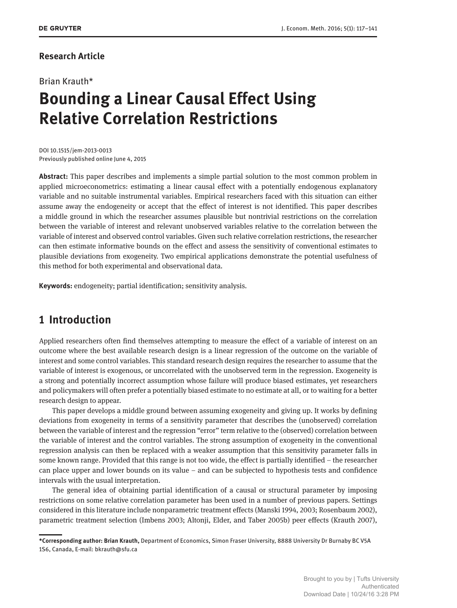## **Research Article**

## Brian Krauth\*

# **Bounding a Linear Causal Effect Using Relative Correlation Restrictions**

DOI 10.1515/jem-2013-0013 Previously published online June 4, 2015

**Abstract:** This paper describes and implements a simple partial solution to the most common problem in applied microeconometrics: estimating a linear causal effect with a potentially endogenous explanatory variable and no suitable instrumental variables. Empirical researchers faced with this situation can either assume away the endogeneity or accept that the effect of interest is not identified. This paper describes a middle ground in which the researcher assumes plausible but nontrivial restrictions on the correlation between the variable of interest and relevant unobserved variables relative to the correlation between the variable of interest and observed control variables. Given such relative correlation restrictions, the researcher can then estimate informative bounds on the effect and assess the sensitivity of conventional estimates to plausible deviations from exogeneity. Two empirical applications demonstrate the potential usefulness of this method for both experimental and observational data.

**Keywords:** endogeneity; partial identification; sensitivity analysis.

# **1 Introduction**

Applied researchers often find themselves attempting to measure the effect of a variable of interest on an outcome where the best available research design is a linear regression of the outcome on the variable of interest and some control variables. This standard research design requires the researcher to assume that the variable of interest is exogenous, or uncorrelated with the unobserved term in the regression. Exogeneity is a strong and potentially incorrect assumption whose failure will produce biased estimates, yet researchers and policymakers will often prefer a potentially biased estimate to no estimate at all, or to waiting for a better research design to appear.

This paper develops a middle ground between assuming exogeneity and giving up. It works by defining deviations from exogeneity in terms of a sensitivity parameter that describes the (unobserved) correlation between the variable of interest and the regression "error" term relative to the (observed) correlation between the variable of interest and the control variables. The strong assumption of exogeneity in the conventional regression analysis can then be replaced with a weaker assumption that this sensitivity parameter falls in some known range. Provided that this range is not too wide, the effect is partially identified – the researcher can place upper and lower bounds on its value – and can be subjected to hypothesis tests and confidence intervals with the usual interpretation.

The general idea of obtaining partial identification of a causal or structural parameter by imposing restrictions on some relative correlation parameter has been used in a number of previous papers. Settings considered in this literature include nonparametric treatment effects (Manski 1994, 2003; Rosenbaum 2002), parametric treatment selection (Imbens 2003; Altonji, Elder, and Taber 2005b) peer effects (Krauth 2007),

**<sup>\*</sup>Corresponding author: Brian Krauth,** Department of Economics, Simon Fraser University, 8888 University Dr Burnaby BC V5A 1S6, Canada, E-mail: bkrauth@sfu.ca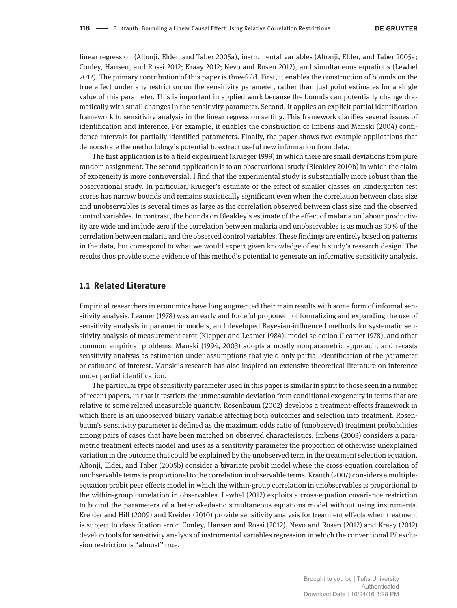linear regression (Altonji, Elder, and Taber 2005a), instrumental variables (Altonji, Elder, and Taber 2005a; Conley, Hansen, and Rossi 2012; Kraay 2012; Nevo and Rosen 2012), and simultaneous equations (Lewbel 2012). The primary contribution of this paper is threefold. First, it enables the construction of bounds on the true effect under any restriction on the sensitivity parameter, rather than just point estimates for a single value of this parameter. This is important in applied work because the bounds can potentially change dramatically with small changes in the sensitivity parameter. Second, it applies an explicit partial identification framework to sensitivity analysis in the linear regression setting. This framework clarifies several issues of identification and inference. For example, it enables the construction of Imbens and Manski (2004) confidence intervals for partially identified parameters. Finally, the paper shows two example applications that demonstrate the methodology's potential to extract useful new information from data.

The first application is to a field experiment (Krueger 1999) in which there are small deviations from pure random assignment. The second application is to an observational study (Bleakley 2010b) in which the claim of exogeneity is more controversial. I find that the experimental study is substantially more robust than the observational study. In particular, Krueger's estimate of the effect of smaller classes on kindergarten test scores has narrow bounds and remains statistically significant even when the correlation between class size and unobservables is several times as large as the correlation observed between class size and the observed control variables. In contrast, the bounds on Bleakley's estimate of the effect of malaria on labour productivity are wide and include zero if the correlation between malaria and unobservables is as much as 30% of the correlation between malaria and the observed control variables. These findings are entirely based on patterns in the data, but correspond to what we would expect given knowledge of each study's research design. The results thus provide some evidence of this method's potential to generate an informative sensitivity analysis.

## **1.1 Related Literature**

Empirical researchers in economics have long augmented their main results with some form of informal sensitivity analysis. Leamer (1978) was an early and forceful proponent of formalizing and expanding the use of sensitivity analysis in parametric models, and developed Bayesian-influenced methods for systematic sensitivity analysis of measurement error (Klepper and Leamer 1984), model selection (Leamer 1978), and other common empirical problems. Manski (1994, 2003) adopts a mostly nonparametric approach, and recasts sensitivity analysis as estimation under assumptions that yield only partial identification of the parameter or estimand of interest. Manski's research has also inspired an extensive theoretical literature on inference under partial identification.

The particular type of sensitivity parameter used in this paper is similar in spirit to those seen in a number of recent papers, in that it restricts the unmeasurable deviation from conditional exogeneity in terms that are relative to some related measurable quantity. Rosenbaum (2002) develops a treatment-effects framework in which there is an unobserved binary variable affecting both outcomes and selection into treatment. Rosenbaum's sensitivity parameter is defined as the maximum odds ratio of (unobserved) treatment probabilities among pairs of cases that have been matched on observed characteristics. Imbens (2003) considers a parametric treatment effects model and uses as a sensitivity parameter the proportion of otherwise unexplained variation in the outcome that could be explained by the unobserved term in the treatment selection equation. Altonji, Elder, and Taber (2005b) consider a bivariate probit model where the cross-equation correlation of unobservable terms is proportional to the correlation in observable terms. Krauth (2007) considers a multipleequation probit peer effects model in which the within-group correlation in unobservables is proportional to the within-group correlation in observables. Lewbel (2012) exploits a cross-equation covariance restriction to bound the parameters of a heteroskedastic simultaneous equations model without using instruments. Kreider and Hill (2009) and Kreider (2010) provide sensitivity analysis for treatment effects when treatment is subject to classification error. Conley, Hansen and Rossi (2012), Nevo and Rosen (2012) and Kraay (2012) develop tools for sensitivity analysis of instrumental variables regression in which the conventional IV exclusion restriction is "almost" true.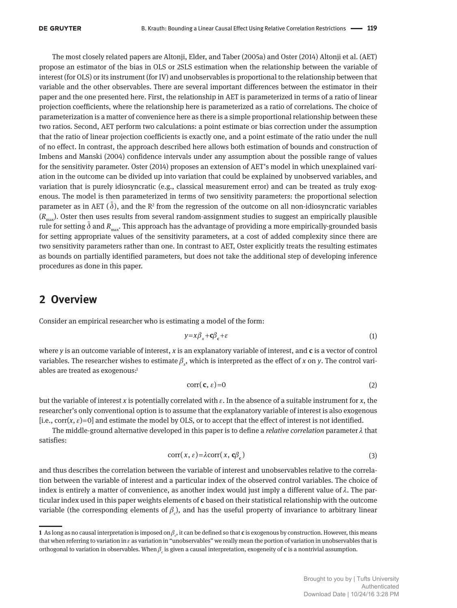The most closely related papers are Altonji, Elder, and Taber (2005a) and Oster (2014) Altonji et al. (AET) propose an estimator of the bias in OLS or 2SLS estimation when the relationship between the variable of interest (for OLS) or its instrument (for IV) and unobservables is proportional to the relationship between that variable and the other observables. There are several important differences between the estimator in their paper and the one presented here. First, the relationship in AET is parameterized in terms of a ratio of linear projection coefficients, where the relationship here is parameterized as a ratio of correlations. The choice of parameterization is a matter of convenience here as there is a simple proportional relationship between these two ratios. Second, AET perform two calculations: a point estimate or bias correction under the assumption that the ratio of linear projection coefficients is exactly one, and a point estimate of the ratio under the null of no effect. In contrast, the approach described here allows both estimation of bounds and construction of Imbens and Manski (2004) confidence intervals under any assumption about the possible range of values for the sensitivity parameter. Oster (2014) proposes an extension of AET's model in which unexplained variation in the outcome can be divided up into variation that could be explained by unobserved variables, and variation that is purely idiosyncratic (e.g., classical measurement error) and can be treated as truly exogenous. The model is then parameterized in terms of two sensitivity parameters: the proportional selection parameter as in AET ( $\tilde{\delta}$ ), and the R<sup>2</sup> from the regression of the outcome on all non-idiosyncratic variables (*R*max ). Oster then uses results from several random-assignment studies to suggest an empirically plausible rule for setting  $\tilde{\delta}$  and  $R_{\text{max}}$ . This approach has the advantage of providing a more empirically-grounded basis for setting appropriate values of the sensitivity parameters, at a cost of added complexity since there are two sensitivity parameters rather than one. In contrast to AET, Oster explicitly treats the resulting estimates as bounds on partially identified parameters, but does not take the additional step of developing inference procedures as done in this paper.

# **2 Overview**

Consider an empirical researcher who is estimating a model of the form:

$$
y = x\beta_x + c\beta_c + \varepsilon \tag{1}
$$

where *y* is an outcome variable of interest, *x* is an explanatory variable of interest, and **c** is a vector of control variables. The researcher wishes to estimate  $\beta_x$ , which is interpreted as the effect of *x* on *y*. The control variables are treated as exogenous:1

$$
corr(\mathbf{c}, \varepsilon) = 0 \tag{2}
$$

but the variable of interest *x* is potentially correlated with  $\varepsilon$ . In the absence of a suitable instrument for *x*, the researcher's only conventional option is to assume that the explanatory variable of interest is also exogenous [i.e.,  $\text{corr}(x, \varepsilon) = 0$ ] and estimate the model by OLS, or to accept that the effect of interest is not identified.

The middle-ground alternative developed in this paper is to define a *relative correlation* parameter λ that satisfies:

$$
corr(x, \varepsilon) = \lambda corr(x, \mathbf{c}\beta_c)
$$
 (3)

and thus describes the correlation between the variable of interest and unobservables relative to the correlation between the variable of interest and a particular index of the observed control variables. The choice of index is entirely a matter of convenience, as another index would just imply a different value of  $\lambda$ . The particular index used in this paper weights elements of **c** based on their statistical relationship with the outcome variable (the corresponding elements of  $\beta_c$ ), and has the useful property of invariance to arbitrary linear

**<sup>1</sup>** As long as no causal interpretation is imposed on β*<sup>c</sup>* , it can be defined so that **c** is exogenous by construction. However, this means that when referring to variation in  $\varepsilon$  as variation in "unobservables" we really mean the portion of variation in unobservables that is orthogonal to variation in observables. When β*<sup>c</sup>* is given a causal interpretation, exogeneity of **c** is a nontrivial assumption.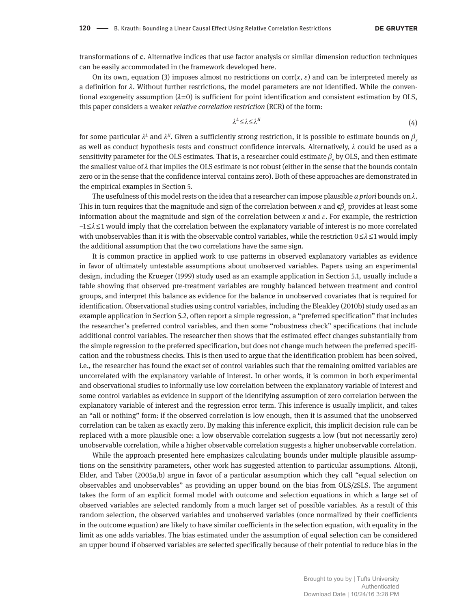transformations of **c**. Alternative indices that use factor analysis or similar dimension reduction techniques can be easily accommodated in the framework developed here.

On its own, equation (3) imposes almost no restrictions on corr( $x, \varepsilon$ ) and can be interpreted merely as a definition for  $\lambda$ . Without further restrictions, the model parameters are not identified. While the conventional exogeneity assumption  $(\lambda=0)$  is sufficient for point identification and consistent estimation by OLS, this paper considers a weaker *relative correlation restriction* (RCR) of the form:

$$
\lambda^L \leq \lambda \leq \lambda^H \tag{4}
$$

for some particular  $\lambda^L$  and  $\lambda^H$ . Given a sufficiently strong restriction, it is possible to estimate bounds on  $\beta_x$ as well as conduct hypothesis tests and construct confidence intervals. Alternatively,  $\lambda$  could be used as a sensitivity parameter for the OLS estimates. That is, a researcher could estimate  $\beta_{\rm x}$  by OLS, and then estimate the smallest value of  $\lambda$  that implies the OLS estimate is not robust (either in the sense that the bounds contain zero or in the sense that the confidence interval contains zero). Both of these approaches are demonstrated in the empirical examples in Section 5.

The usefulness of this model rests on the idea that a researcher can impose plausible *a priori* bounds on λ. This in turn requires that the magnitude and sign of the correlation between *x* and  ${\sf c}\beta_{\rm c}$  provides at least some information about the magnitude and sign of the correlation between *x* and ε. For example, the restriction –1 ≤ λ ≤ 1 would imply that the correlation between the explanatory variable of interest is no more correlated with unobservables than it is with the observable control variables, while the restriction  $0 \le \lambda \le 1$  would imply the additional assumption that the two correlations have the same sign.

It is common practice in applied work to use patterns in observed explanatory variables as evidence in favor of ultimately untestable assumptions about unobserved variables. Papers using an experimental design, including the Krueger (1999) study used as an example application in Section 5.1, usually include a table showing that observed pre-treatment variables are roughly balanced between treatment and control groups, and interpret this balance as evidence for the balance in unobserved covariates that is required for identification. Observational studies using control variables, including the Bleakley (2010b) study used as an example application in Section 5.2, often report a simple regression, a "preferred specification" that includes the researcher's preferred control variables, and then some "robustness check" specifications that include additional control variables. The researcher then shows that the estimated effect changes substantially from the simple regression to the preferred specification, but does not change much between the preferred specification and the robustness checks. This is then used to argue that the identification problem has been solved, i.e., the researcher has found the exact set of control variables such that the remaining omitted variables are uncorrelated with the explanatory variable of interest. In other words, it is common in both experimental and observational studies to informally use low correlation between the explanatory variable of interest and some control variables as evidence in support of the identifying assumption of zero correlation between the explanatory variable of interest and the regression error term. This inference is usually implicit, and takes an "all or nothing" form: if the observed correlation is low enough, then it is assumed that the unobserved correlation can be taken as exactly zero. By making this inference explicit, this implicit decision rule can be replaced with a more plausible one: a low observable correlation suggests a low (but not necessarily zero) unobservable correlation, while a higher observable correlation suggests a higher unobservable correlation.

While the approach presented here emphasizes calculating bounds under multiple plausible assumptions on the sensitivity parameters, other work has suggested attention to particular assumptions. Altonji, Elder, and Taber (2005a,b) argue in favor of a particular assumption which they call "equal selection on observables and unobservables" as providing an upper bound on the bias from OLS/2SLS. The argument takes the form of an explicit formal model with outcome and selection equations in which a large set of observed variables are selected randomly from a much larger set of possible variables. As a result of this random selection, the observed variables and unobserved variables (once normalized by their coefficients in the outcome equation) are likely to have similar coefficients in the selection equation, with equality in the limit as one adds variables. The bias estimated under the assumption of equal selection can be considered an upper bound if observed variables are selected specifically because of their potential to reduce bias in the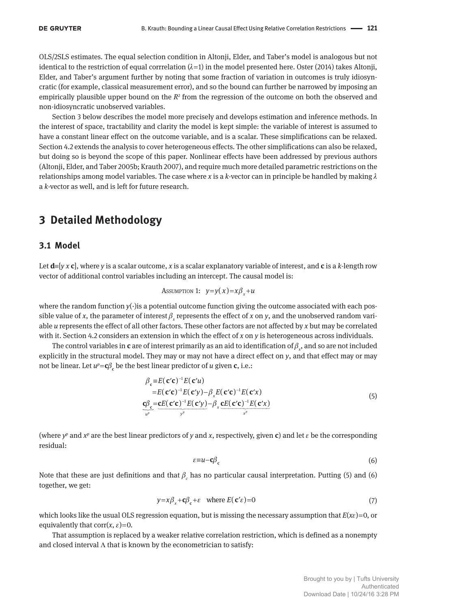OLS/2SLS estimates. The equal selection condition in Altonji, Elder, and Taber's model is analogous but not identical to the restriction of equal corrrelation  $(\lambda=1)$  in the model presented here. Oster (2014) takes Altonji, Elder, and Taber's argument further by noting that some fraction of variation in outcomes is truly idiosyncratic (for example, classical measurement error), and so the bound can further be narrowed by imposing an empirically plausible upper bound on the  $R<sup>2</sup>$  from the regression of the outcome on both the observed and non-idiosyncratic unobserved variables.

Section 3 below describes the model more precisely and develops estimation and inference methods. In the interest of space, tractability and clarity the model is kept simple: the variable of interest is assumed to have a constant linear effect on the outcome variable, and is a scalar. These simplifications can be relaxed. Section 4.2 extends the analysis to cover heterogeneous effects. The other simplifications can also be relaxed, but doing so is beyond the scope of this paper. Nonlinear effects have been addressed by previous authors (Altonji, Elder, and Taber 2005b; Krauth 2007), and require much more detailed parametric restrictions on the relationships among model variables. The case where *x* is a *k*-vector can in principle be handled by making λ a *k*-vector as well, and is left for future research.

# **3 Detailed Methodology**

## **3.1 Model**

Let **d**≡[*y x* **c**], where *y* is a scalar outcome, *x* is a scalar explanatory variable of interest, and **c** is a *k*-length row vector of additional control variables including an intercept. The causal model is:

$$
Assumption 1: y = y(x) = x\beta_x + u
$$

where the random function  $y(\cdot)$  is a potential outcome function giving the outcome associated with each possible value of *x*, the parameter of interest  $\beta_x$  represents the effect of *x* on *y*, and the unobserved random variable *u* represents the effect of all other factors. These other factors are not affected by *x* but may be correlated with it. Section 4.2 considers an extension in which the effect of *x* on *y* is heterogeneous across individuals.

The control variables in **c** are of interest primarily as an aid to identification of  $\beta_x$ , and so are not included explicitly in the structural model. They may or may not have a direct effect on *y*, and that effect may or may not be linear. Let  $u^p = c\beta_c$  be the best linear predictor of *u* given **c**, i.e.:

$$
\beta_{\mathbf{c}} \equiv E(\mathbf{c}'\mathbf{c})^{-1} E(\mathbf{c}'u) \n= E(\mathbf{c}'\mathbf{c})^{-1} E(\mathbf{c}'y) - \beta_{x} E(\mathbf{c}'\mathbf{c})^{-1} E(\mathbf{c}'x) \n\frac{\mathbf{c}\beta_{\mathbf{c}}}{u^{p}} = \frac{\mathbf{c}E(\mathbf{c}'\mathbf{c})^{-1} E(\mathbf{c}'y)}{y^{p}} - \beta_{x} \frac{\mathbf{c}E(\mathbf{c}'\mathbf{c})^{-1} E(\mathbf{c}'x)}{x^{p}}
$$
\n(5)

(where  $y^p$  and  $x^p$  are the best linear predictors of *y* and *x*, respectively, given **c**) and let  $\varepsilon$  be the corresponding residual:

$$
\varepsilon = u - c\beta_c \tag{6}
$$

Note that these are just definitions and that  $\beta_c$  has no particular causal interpretation. Putting (5) and (6) together, we get:

$$
y = x\beta_x + c\beta_c + \varepsilon \quad \text{where } E(c'\varepsilon) = 0 \tag{7}
$$

which looks like the usual OLS regression equation, but is missing the necessary assumption that *E*(*x*ε) = 0, or equivalently that  $corr(x, \varepsilon) = 0$ .

That assumption is replaced by a weaker relative correlation restriction, which is defined as a nonempty and closed interval  $\Lambda$  that is known by the econometrician to satisfy: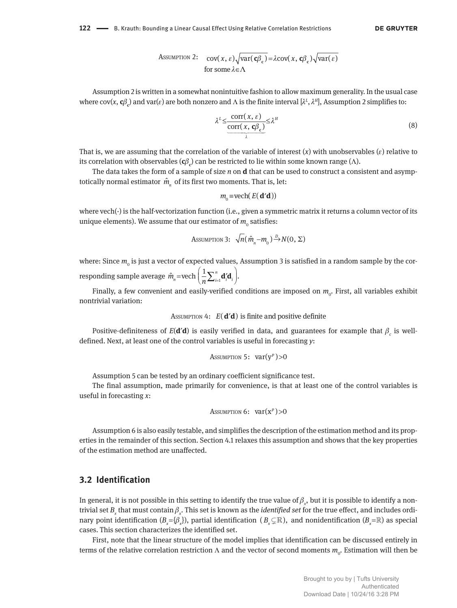**DE GRUYTER** 

Assumption 2: 
$$
\text{cov}(x, \varepsilon) \sqrt{\text{var}(\mathbf{c}\beta_{\mathbf{c}})} = \lambda \text{cov}(x, \mathbf{c}\beta_{\mathbf{c}}) \sqrt{\text{var}(\varepsilon)}
$$
for some  $\lambda \in \Lambda$ 

Assumption 2 is written in a somewhat nonintuitive fashion to allow maximum generality. In the usual case where  $cov(x, c\beta_c)$  and  $var(\varepsilon)$  are both nonzero and  $\Lambda$  is the finite interval  $[\lambda^L, \lambda^H]$ , Assumption 2 simplifies to:

$$
\lambda^{L} \leq \underbrace{\frac{\text{corr}(x, \varepsilon)}{\text{corr}(x, \mathbf{c}\beta_{\mathbf{c}})}}_{\lambda} \leq \lambda^{H}
$$
\n(8)

That is, we are assuming that the correlation of the variable of interest  $(x)$  with unobservables  $(\varepsilon)$  relative to lts correlation with observables (**c**β<sub>c</sub>) can be restricted to lie within some known range (Λ).

The data takes the form of a sample of size *n* on **d** that can be used to construct a consistent and asymptotically normal estimator  $\hat{m}_{n}^{\phantom{\dag}}$  of its first two moments. That is, let:

$$
m_0 = \text{vech}(E(\mathbf{d'd}))
$$

where vech( $\cdot$ ) is the half-vectorization function (i.e., given a symmetric matrix it returns a column vector of its unique elements). We assume that our estimator of  $m_{_0}$  satisfies:

Assumption 3: 
$$
\sqrt{n}(\hat{m}_n - m_0) \xrightarrow{D} N(0, \Sigma)
$$

where: Since  $m_{_0}$  is just a vector of expected values, Assumption 3 is satisfied in a random sample by the corresponding sample average  $\hat{m}_{n}$ =vech  $\left(\frac{1}{n}\sum_{i=1}^{n}$  $\hat{m}_{n}$ =vech  $\left(\frac{1}{n}\sum_{i=1}^{n}\mathbf{d}'_{i}\mathbf{d}_{i}\right)$ .  $\hat{m}_n =$ vech  $\left(\frac{1}{n}\sum_{i=1}^n \mathbf{d}_i^{\prime}\mathbf{d}_i\right)$  $=$ vech  $\left(\frac{1}{n}\sum_{i=1}^{n}d'_{i}d_{i}\right)$ 

Finally, a few convenient and easily-verified conditions are imposed on  $m_{\rm o}$ . First, all variables exhibit nontrivial variation:

```
ASSUMPTION 4: E(\, \mathbf{d}'\mathbf{d}) is finite and positive definite
```
Positive-definiteness of  $E(\mathbf{d}'\mathbf{d})$  is easily verified in data, and guarantees for example that  $\beta_c$  is welldefined. Next, at least one of the control variables is useful in forecasting *y*:

Assumption 5: 
$$
var(y^p) > 0
$$

Assumption 5 can be tested by an ordinary coefficient significance test.

The final assumption, made primarily for convenience, is that at least one of the control variables is useful in forecasting *x*:

```
Assumption 6: var(x^p) > 0
```
Assumption 6 is also easily testable, and simplifies the description of the estimation method and its properties in the remainder of this section. Section 4.1 relaxes this assumption and shows that the key properties of the estimation method are unaffected.

## **3.2 Identification**

In general, it is not possible in this setting to identify the true value of  $\beta_{_\chi}$ , but it is possible to identify a nontrivial set  $B_x$  that must contain  $\beta_x$ . This set is known as the *identified set* for the true effect, and includes ordinary point identification  $(B_x = \{\beta_x\})$ , partial identification  $(B_x \subsetneq \mathbb{R})$ , and nonidentification  $(B_x = \mathbb{R})$  as special cases. This section characterizes the identified set.

First, note that the linear structure of the model implies that identification can be discussed entirely in terms of the relative correlation restriction  $\Lambda$  and the vector of second moments  $m_o$ . Estimation will then be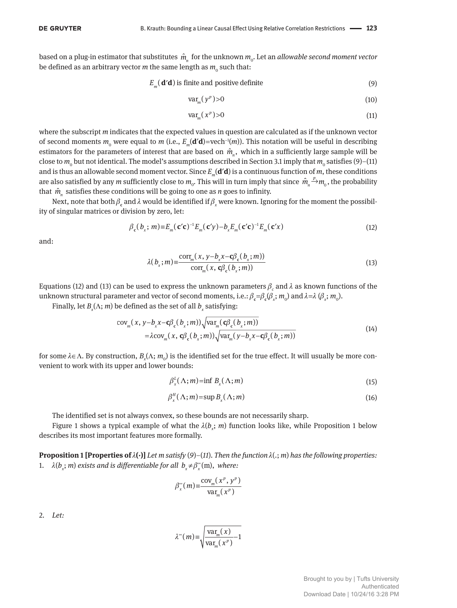based on a plug-in estimator that substitutes  $\, \hat{m}^{}_{n} \,$  for the unknown  $m^{}_{\rm o}$ . Let an *allowable second moment vector* be defined as an arbitrary vector  $m$  the same length as  $m_{_0}$  such that:

$$
E_m(\mathbf{d'}\mathbf{d})
$$
 is finite and positive definite (9)

$$
\text{var}_{m}(y^{p}) > 0 \tag{10}
$$

$$
\text{var}_{m}(x^{p})>0\tag{11}
$$

where the subscript *m* indicates that the expected values in question are calculated as if the unknown vector of second moments  $m_0$  were equal to  $m$  (i.e.,  $E_m(\mathbf{d'}\mathbf{d}) =$ vech<sup>-1</sup>( $m$ )). This notation will be useful in describing estimators for the parameters of interest that are based on  $\hat{m}_n$ , which in a sufficiently large sample will be close to  $m_{_0}$  but not identical. The model's assumptions described in Section 3.1 imply that  $m_{_0}$  satisfies (9)–(11) and is thus an allowable second moment vector. Since *E<sup>m</sup>* (**d**′**d**) is a continuous function of *m*, these conditions are also satisfied by any *m* sufficiently close to  $m_o$ . This will in turn imply that since  $\hat{m}_n \xrightarrow{p} m_o$ , the probability that  $\hat{m}$ <sub>n</sub> satisfies these conditions will be going to one as *n* goes to infinity.

Next, note that both  $\beta_{\mathfrak{c}}$  and  $\lambda$  would be identified if  $\beta_{\chi}$  were known. Ignoring for the moment the possibility of singular matrices or division by zero, let:

$$
\beta_{\mathbf{c}}(b_x; m) \equiv E_m(\mathbf{c}'\mathbf{c})^{-1} E_m(\mathbf{c}'y) - b_x E_m(\mathbf{c}'\mathbf{c})^{-1} E_m(\mathbf{c}'x)
$$
\n(12)

and:

$$
\lambda(b_x; m) \equiv \frac{\text{corr}_m(x, y - b_x x - \mathbf{c} \beta_c(b_x; m))}{\text{corr}_m(x, \mathbf{c} \beta_c(b_x; m))}
$$
(13)

Equations (12) and (13) can be used to express the unknown parameters  $\beta_c$  and  $\lambda$  as known functions of the unknown structural parameter and vector of second moments, i.e.:  $\beta_c = \beta_c(\beta_x; m_o)$  and  $\lambda = \lambda (\beta_x; m_o)$ .

Finally, let  $B_x(\Lambda; m)$  be defined as the set of all  $b_x$  satisfying:

$$
\begin{aligned} \text{cov}_{m}(x, y - b_{x}x - \mathbf{c}\beta_{\mathbf{c}}(b_{x}; m)) \sqrt{\text{var}_{m}(\mathbf{c}\beta_{\mathbf{c}}(b_{x}; m))} \\ = \lambda \text{cov}_{m}(x, \mathbf{c}\beta_{\mathbf{c}}(b_{x}; m)) \sqrt{\text{var}_{m}(y - b_{x}x - \mathbf{c}\beta_{\mathbf{c}}(b_{x}; m))} \end{aligned} \tag{14}
$$

for some  $λ ∈ Λ$ . By construction,  $B_x(Λ; m_0)$  is the identified set for the true effect. It will usually be more convenient to work with its upper and lower bounds:

$$
\beta_x^L(\Lambda; m) = \inf B_x(\Lambda; m) \tag{15}
$$

$$
\beta_x^H(\Lambda; m) = \sup B_x(\Lambda; m) \tag{16}
$$

The identified set is not always convex, so these bounds are not necessarily sharp.

Figure 1 shows a typical example of what the  $\lambda(b_x;m)$  function looks like, while Proposition 1 below describes its most important features more formally.

**Proposition 1 [Properties of** λ**(·)]** *Let m satisfy* (*9*)*–*(*11*)*. Then the function* λ(.; *m*) *has the following properties:* 1.  $\lambda(b_x; m)$  *exists and is differentiable for all*  $b_x \neq \beta_x^{\infty}(m)$ , *where:* 

$$
\beta_x^{\infty}(m) \equiv \frac{\text{cov}_m(x^p, y^p)}{\text{var}_m(x^p)}
$$

2. *Let:*

$$
\lambda^{\infty}(m) \equiv \sqrt{\frac{\text{var}_{m}(x)}{\text{var}_{m}(x^{p})} - 1}
$$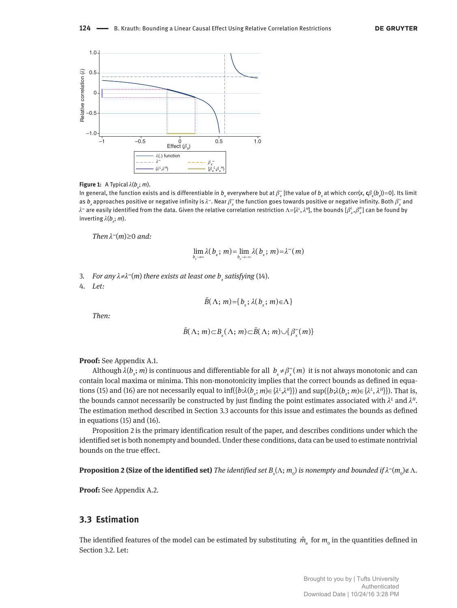

#### **Figure 1:** A Typical  $\lambda(b_x; m)$ .

In general, the function exists and is differentiable in  $b_x$  everywhere but at  $\beta_x^{\infty}$  [the value of  $b_x$  at which corr(x,  ${\bf c}\beta_c(b_x)$ )=0]. Its limit as  $b_x$  approaches positive or negative infinity is  $\lambda^\infty$ . Near  $\beta^\infty_x$  the function goes towards positive or negative infinity. Both  $\beta^\infty_x$  and  $λ$ ≈ are easily identified from the data. Given the relative correlation restriction Λ=[λ<sup>ι</sup>, λ<sup>μ</sup>], the bounds [ $β'_x, β''_x$ ] can be found by inverting λ(*b<sup>x</sup>* ; *m*).

*Then*  $λ<sup>∞</sup>(m) ≥ 0$  *and*:

$$
\lim_{b_x \to \infty} \lambda(b_x; m) = \lim_{b_x \to \infty} \lambda(b_x; m) = \lambda^{\infty}(m)
$$

3. *For any* λ*≠*λ ∞ (*m*) *there exists at least one b<sup>x</sup> satisfying* (14).

4. *Let:*

$$
\tilde{B}(\Lambda; m) = \{b_x; \lambda(b_x; m) \in \Lambda\}
$$

*Then:*

$$
\tilde{B}(\Lambda; m) \subset B_{\mathfrak{X}}(\Lambda; m) \subset \tilde{B}(\Lambda; m) \cup \{ \beta_{\mathfrak{X}}^{\infty}(m) \}
$$

**Proof:** See Appendix A.1.

Although  $\lambda(b_x; m)$  is continuous and differentiable for all  $b_x \neq \beta_x^*(m)$  it is not always monotonic and can contain local maxima or minima. This non-monotonicity implies that the correct bounds as defined in equations (15) and (16) are not necessarily equal to  $\inf(\{b:\lambda(b_x;m)\in\{\lambda^L,\lambda^H\}\})$  and  $\sup(\{b:\lambda(b_x;m)\in\{\lambda^L,\lambda^H\}\})$ . That is, the bounds cannot necessarily be constructed by just finding the point estimates associated with  $\lambda^L$  and  $\lambda^H$ . The estimation method described in Section 3.3 accounts for this issue and estimates the bounds as defined in equations (15) and (16).

Proposition 2 is the primary identification result of the paper, and describes conditions under which the identified set is both nonempty and bounded. Under these conditions, data can be used to estimate nontrivial bounds on the true effect.

 ${\bf Proposition~2}$  (Size of the identified set) *The identified set B<sub>x</sub>(Λ; m<sub>0</sub>) is nonempty and bounded if λ® (m<sub>0</sub>)∉ Λ.* 

**Proof:** See Appendix A.2.

## **3.3 Estimation**

The identified features of the model can be estimated by substituting  $\hat{m}^n_n$  for  $m^0$  in the quantities defined in Section 3.2. Let: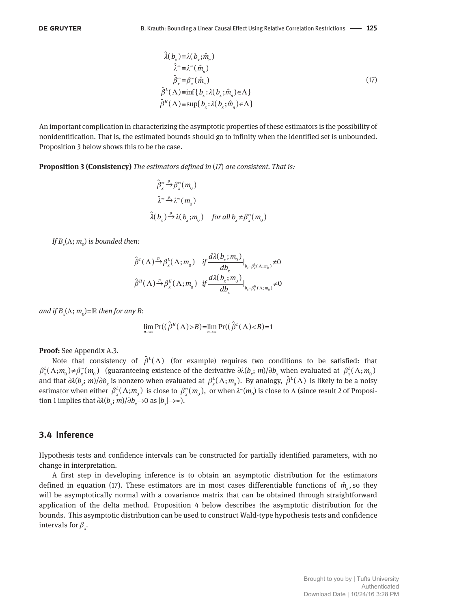$$
\hat{\lambda}(b_x) = \lambda(b_x; \hat{m}_n)
$$
\n
$$
\hat{\lambda}^* = \lambda^*(\hat{m}_n)
$$
\n
$$
\hat{\beta}_x^* = \beta_x^*(\hat{m}_n)
$$
\n
$$
\hat{\beta}^L(\Lambda) = \inf\{b_x : \lambda(b_x; \hat{m}_n) \in \Lambda\}
$$
\n
$$
\hat{\beta}^H(\Lambda) = \sup\{b_x : \lambda(b_x; \hat{m}_n) \in \Lambda\}
$$
\n(17)

An important complication in characterizing the asymptotic properties of these estimators is the possibility of nonidentification. That is, the estimated bounds should go to infinity when the identified set is unbounded. Proposition 3 below shows this to be the case.

**Proposition 3 (Consistency)** *The estimators defined in* (*17*) *are consistent. That is:*

$$
\hat{\beta}_x^{\infty} \stackrel{p}{\rightarrow} \beta_x^{\infty}(m_0)
$$
  

$$
\hat{\lambda}^{\infty} \stackrel{p}{\rightarrow} \lambda^{\infty}(m_0)
$$
  

$$
\hat{\lambda}(b_x) \stackrel{p}{\rightarrow} \lambda(b_x; m_0) \quad \text{for all } b_x \neq \beta_x^{\infty}(m_0)
$$

*If*  $B_x(\Lambda; m_0)$  is bounded then:

$$
\hat{\beta}^{L}(\Lambda)^{\frac{p}{2}}\beta_{x}^{L}(\Lambda; m_{0}) \quad \text{if } \frac{d\lambda(b_{x}; m_{0})}{db_{x}}|_{b_{x}=\beta_{x}^{L}(\Lambda; m_{0})} \neq 0
$$
\n
$$
\hat{\beta}^{H}(\Lambda)^{\frac{p}{2}}\beta_{x}^{H}(\Lambda; m_{0}) \quad \text{if } \frac{d\lambda(b_{x}; m_{0})}{db_{x}}|_{b_{x}=\beta_{x}^{H}(\Lambda; m_{0})} \neq 0
$$

 $\int \frac{d}{dt}$  *and if*  $B_x(\Lambda; m_0) = \mathbb{R}$  *then for any B*:

$$
\lim_{n\to\infty}\Pr((\hat{\beta}^H(\Lambda)\gt{B})=\lim_{n\to\infty}\Pr((\hat{\beta}^L(\Lambda)\lt{B})=1
$$

#### **Proof:** See Appendix A.3.

Note that consistency of  $\hat{\beta}^L(\Lambda)$  (for example) requires two conditions to be satisfied: that  $\beta_x^L(\Lambda; m_{_0}) \neq \beta_x^{\infty}(m_{_0})$  (guaranteeing existence of the derivative  $\partial \lambda(b_x; m)/\partial b_x$  when evaluated at  $\beta_x^L(\Lambda; m_{_0})$ and that  $\partial \lambda(b_x; m)/\partial b_x$  is nonzero when evaluated at  $\beta_x^L(\Lambda; m_0)$ . By analogy,  $\hat{\beta}^L(\Lambda)$  is likely to be a noisy estimator when either  $\beta_x^L(\Lambda; m_0)$  is close to  $\beta_x^{\infty}$  $\int_{\alpha}^{\infty}$  ( $m_0$ ), or when  $\lambda^{\infty}(m_0)$  is close to  $\Lambda$  (since result 2 of Proposition 1 implies that  $\partial \lambda(b_x; m)/\partial b_x \rightarrow 0$  as  $|b_x| \rightarrow \infty$ ).

## **3.4 Inference**

Hypothesis tests and confidence intervals can be constructed for partially identified parameters, with no change in interpretation.

A first step in developing inference is to obtain an asymptotic distribution for the estimators defined in equation (17). These estimators are in most cases differentiable functions of  $\hat{m}_n$ , so they will be asymptotically normal with a covariance matrix that can be obtained through straightforward application of the delta method. Proposition 4 below describes the asymptotic distribution for the bounds. This asymptotic distribution can be used to construct Wald-type hypothesis tests and confidence intervals for  $\beta_{x}$ **.**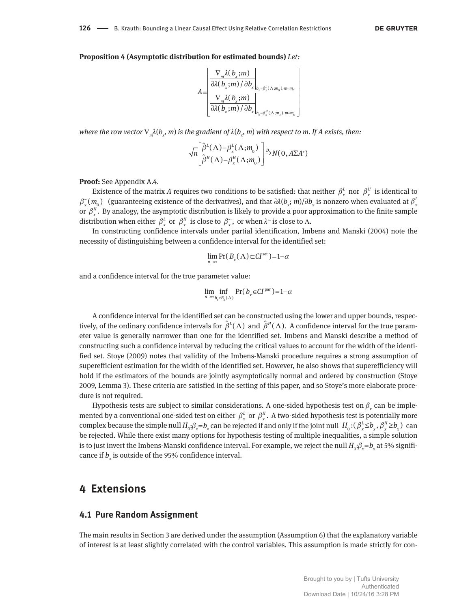**126 —** B. Krauth: Bounding a Linear Causal Effect Using Relative Correlation Restrictions

#### **Proposition 4 (Asymptotic distribution for estimated bounds)** *Let:*

$$
A = \begin{bmatrix} \nabla_m \lambda(b_x; m) \\ \nabla \lambda(b_x; m) / \partial b_x \big|_{b_x = \beta_x^L(\Lambda; m_0), m = m_0} \\ \nabla_m \lambda(b_x; m) \big|_{b_x = \beta_x^H(\Lambda; m_0), m = m_0} \n\end{bmatrix}
$$

where the row vector  $\nabla_{_{m}}\!\lambda(b_{_{\chi}},m)$  is the gradient of  $\lambda(b_{_{\chi}},m)$  with respect to m. If A exists, then:

$$
\sqrt{n} \left[ \frac{\hat{\beta}^{L}(\Lambda) - \beta_{x}^{L}(\Lambda; m_{0})}{\hat{\beta}^{H}(\Lambda) - \beta_{x}^{H}(\Lambda; m_{0})} \right] \stackrel{D}{\rightarrow} N(0, A\Sigma A')
$$

**Proof:** See Appendix A.4.

Existence of the matrix *A* requires two conditions to be satisfied: that neither  $\beta_x^L$  nor  $\beta_x^H$  is identical to  $\beta_x^{\infty}(m_{_0})$  (guaranteeing existence of the derivatives), and that  $\partial\lambda(b_x;m)/\partial b_x$  is nonzero when evaluated at  $\beta_x^L$ or  $\beta_x^H$ . By analogy, the asymptotic distribution is likely to provide a poor approximation to the finite sample distribution when either  $\beta_x^L$  or  $\beta_x^H$  is close to  $\beta_x^*$ , or when  $\lambda^*$  is close to  $\Lambda$ .

In constructing confidence intervals under partial identification, Imbens and Manski (2004) note the necessity of distinguishing between a confidence interval for the identified set:

$$
\lim_{n\to\infty}\Pr(B_{\chi}(\Lambda)\subset CI^{\text{set}})=1-\alpha
$$

and a confidence interval for the true parameter value:

$$
\lim_{n\to\infty}\inf_{b_x\in B_x(\Lambda)}\Pr(b_x\in CI^{\text{par}})=1-\alpha
$$

A confidence interval for the identified set can be constructed using the lower and upper bounds, respectively, of the ordinary confidence intervals for  $\hat{\beta}^L(\Lambda)$  and  $\hat{\beta}^H(\Lambda)$ . A confidence interval for the true parameter value is generally narrower than one for the identified set. Imbens and Manski describe a method of constructing such a confidence interval by reducing the critical values to account for the width of the identified set. Stoye (2009) notes that validity of the Imbens-Manski procedure requires a strong assumption of superefficient estimation for the width of the identified set. However, he also shows that superefficiency will hold if the estimators of the bounds are jointly asymptotically normal and ordered by construction (Stoye 2009, Lemma 3). These criteria are satisfied in the setting of this paper, and so Stoye's more elaborate procedure is not required.

Hypothesis tests are subject to similar considerations. A one-sided hypothesis test on  $\beta_x$  can be implemented by a conventional one-sided test on either  $\beta_x^L$  or  $\beta_x^H$ . A two-sided hypothesis test is potentially more complex because the simple null  $H_0$ : $\beta_x = b_x$  can be rejected if and only if the joint null  $H_0$ : $(\beta_x^L \leq b_x, \beta_x^H \geq b_x)$  can be rejected. While there exist many options for hypothesis testing of multiple inequalities, a simple solution is to just invert the Imbens-Manski confidence interval. For example, we reject the null  $H_0:\beta_x=b_x$  at 5% significance if  $b_x$  is outside of the 95% confidence interval.

# **4 Extensions**

#### **4.1 Pure Random Assignment**

The main results in Section 3 are derived under the assumption (Assumption 6) that the explanatory variable of interest is at least slightly correlated with the control variables. This assumption is made strictly for con-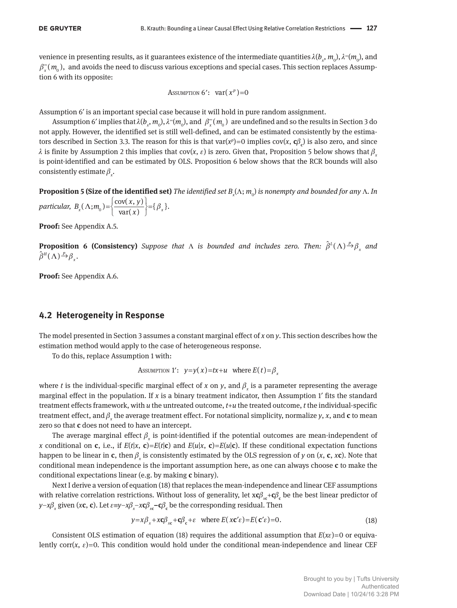venience in presenting results, as it guarantees existence of the intermediate quantities  $\lambda(b_x,m_o),\lambda^\sim(m_o)$ , and  $\beta_{\rm v}^{\rm \scriptscriptstyle \infty}$  $\int\limits_x^\infty (m_{_0})$ , and avoids the need to discuss various exceptions and special cases. This section replaces Assumption 6 with its opposite:

$$
Assumption 6': \quad \text{var}(x^p) = 0
$$

Assumption 6′ is an important special case because it will hold in pure random assignment.

Assumption 6' implies that  $\lambda(b_x, m_0)$ ,  $\lambda^*(m_0)$ , and  $\beta_x^*$  $\int _{x}^{\infty }(m_{_{0}})$  are undefined and so the results in Section 3 do not apply. However, the identified set is still well-defined, and can be estimated consistently by the estimators described in Section 3.3. The reason for this is that  $var(x^p)=0$  implies  $cov(x, c\beta_c)$  is also zero, and since  $λ$  is finite by Assumption 2 this implies that cov(*x*,  $ε$ ) is zero. Given that, Proposition 5 below shows that  $β$ <sub>*x*</sub> is point-identified and can be estimated by OLS. Proposition 6 below shows that the RCR bounds will also consistently estimate  $\beta_{x}$ .

**Proposition 5 (Size of the identified set)** *The identified set B<sup>x</sup>* (Λ; *m*<sup>0</sup> ) *is nonempty and bounded for any* Λ*. In particular,*  $B_x(\Lambda; m_0) = \left\{ \frac{\text{cov}(x, y)}{\text{var}(x)} \right\} = \left\{ \beta \right\}$  $B_x(\Lambda; m_0) = \left\{ \frac{\text{cov}(x, y)}{\text{var}(x)} \right\} = \left\{ \beta_x \right\}.$ 

**Proof:** See Appendix A.5.

**Proposition 6 (Consistency)** *Suppose that*  $\Lambda$  *is bounded and includes zero. Then:*  $\hat{\beta}^L(\Lambda) \stackrel{p}{\rightarrow} \beta_x$  *and*  $\hat{\beta}^{\textit{H}}(\Lambda) \overset{p}{\rightarrow} \beta_{\textit{x}}$ .

**Proof:** See Appendix A.6.

#### **4.2 Heterogeneity in Response**

The model presented in Section 3 assumes a constant marginal effect of *x* on *y*. This section describes how the estimation method would apply to the case of heterogeneous response.

To do this, replace Assumption 1 with:

Assumption 1': 
$$
y=y(x)=tx+u
$$
 where  $E(t)=\beta_x$ 

where *t* is the individual-specific marginal effect of *x* on *y*, and  $\beta_x$  is a parameter representing the average marginal effect in the population. If *x* is a binary treatment indicator, then Assumption 1′ fits the standard treatment effects framework, with *u* the untreated outcome, *t*+*u* the treated outcome, *t* the individual-specific treatment effect, and  $\beta_x$  the average treatment effect. For notational simplicity, normalize  $y$ ,  $x$ , and  ${\bf c}$  to mean zero so that **c** does not need to have an intercept.

The average marginal effect  $\beta_{\rm x}$  is point-identified if the potential outcomes are mean-independent of *x* conditional on **c**, i.e., if  $E(t|x, c) = E(t|c)$  and  $E(u|x, c) = E(u|c)$ . If these conditional expectation functions happen to be linear in **c**, then  $\beta_x$  is consistently estimated by the OLS regression of *y* on (*x*, **c**, *x***c**). Note that conditional mean independence is the important assumption here, as one can always choose **c** to make the conditional expectations linear (e.g. by making **c** binary).

Next I derive a version of equation (18) that replaces the mean-independence and linear CEF assumptions with relative correlation restrictions. Without loss of generality, let x**c**β<sub>*x*c</sub>+**c**β<sub>c</sub> be the best linear predictor of *y*–*x* $\beta$ *<sub>x</sub>* given (*x***c**, **c**). Let  $\varepsilon \equiv y - x\beta_x - x c\beta_x - c\beta_c$  be the corresponding residual. Then

$$
y = x\beta_x + x\mathbf{c}\beta_{xc} + \mathbf{c}\beta_c + \varepsilon \quad \text{where } E(x\mathbf{c}'\varepsilon) = E(\mathbf{c}'\varepsilon) = 0. \tag{18}
$$

Consistent OLS estimation of equation (18) requires the additional assumption that  $E(x\varepsilon)=0$  or equivalently corr( $x$ ,  $\varepsilon$ )=0. This condition would hold under the conditional mean-independence and linear CEF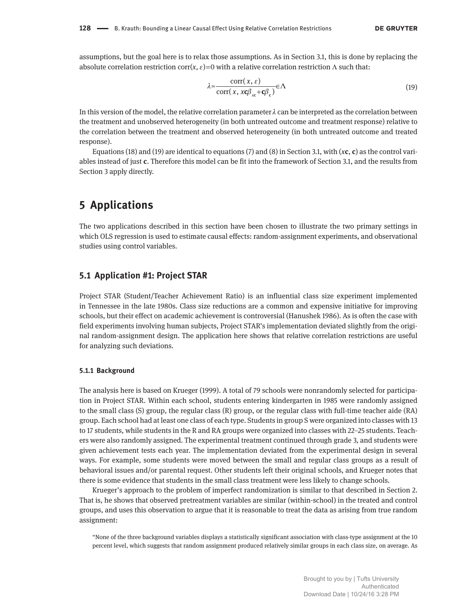assumptions, but the goal here is to relax those assumptions. As in Section 3.1, this is done by replacing the absolute correlation restriction corr( $x, \varepsilon$ ) = 0 with a relative correlation restriction  $\Lambda$  such that:

$$
\lambda = \frac{\text{corr}(x, \varepsilon)}{\text{corr}(x, x\mathcal{C}\beta_{\text{xc}} + \mathbf{C}\beta_{\text{c}})} \in \Lambda \tag{19}
$$

In this version of the model, the relative correlation parameter  $\lambda$  can be interpreted as the correlation between the treatment and unobserved heterogeneity (in both untreated outcome and treatment response) relative to the correlation between the treatment and observed heterogeneity (in both untreated outcome and treated response).

Equations (18) and (19) are identical to equations (7) and (8) in Section 3.1, with  $(x, c)$  as the control variables instead of just **c**. Therefore this model can be fit into the framework of Section 3.1, and the results from Section 3 apply directly.

# **5 Applications**

The two applications described in this section have been chosen to illustrate the two primary settings in which OLS regression is used to estimate causal effects: random-assignment experiments, and observational studies using control variables.

## **5.1 Application #1: Project STAR**

Project STAR (Student/Teacher Achievement Ratio) is an influential class size experiment implemented in Tennessee in the late 1980s. Class size reductions are a common and expensive initiative for improving schools, but their effect on academic achievement is controversial (Hanushek 1986). As is often the case with field experiments involving human subjects, Project STAR's implementation deviated slightly from the original random-assignment design. The application here shows that relative correlation restrictions are useful for analyzing such deviations.

#### **5.1.1 Background**

The analysis here is based on Krueger (1999). A total of 79 schools were nonrandomly selected for participation in Project STAR. Within each school, students entering kindergarten in 1985 were randomly assigned to the small class (S) group, the regular class (R) group, or the regular class with full-time teacher aide (RA) group. Each school had at least one class of each type. Students in group S were organized into classes with 13 to 17 students, while students in the R and RA groups were organized into classes with 22–25 students. Teachers were also randomly assigned. The experimental treatment continued through grade 3, and students were given achievement tests each year. The implementation deviated from the experimental design in several ways. For example, some students were moved between the small and regular class groups as a result of behavioral issues and/or parental request. Other students left their original schools, and Krueger notes that there is some evidence that students in the small class treatment were less likely to change schools.

Krueger's approach to the problem of imperfect randomization is similar to that described in Section 2. That is, he shows that observed pretreatment variables are similar (within-school) in the treated and control groups, and uses this observation to argue that it is reasonable to treat the data as arising from true random assignment:

"None of the three background variables displays a statistically significant association with class-type assignment at the 10 percent level, which suggests that random assignment produced relatively similar groups in each class size, on average. As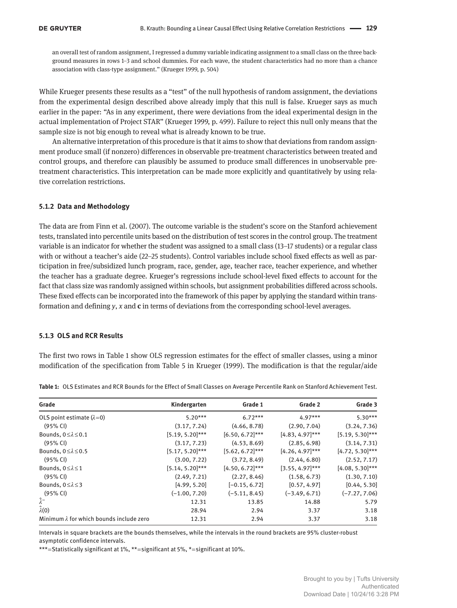an overall test of random assignment, I regressed a dummy variable indicating assignment to a small class on the three background measures in rows 1–3 and school dummies. For each wave, the student characteristics had no more than a chance association with class-type assignment." (Krueger 1999, p. 504)

While Krueger presents these results as a "test" of the null hypothesis of random assignment, the deviations from the experimental design described above already imply that this null is false. Krueger says as much earlier in the paper: "As in any experiment, there were deviations from the ideal experimental design in the actual implementation of Project STAR" (Krueger 1999, p. 499). Failure to reject this null only means that the sample size is not big enough to reveal what is already known to be true.

An alternative interpretation of this procedure is that it aims to show that deviations from random assignment produce small (if nonzero) differences in observable pre-treatment characteristics between treated and control groups, and therefore can plausibly be assumed to produce small differences in unobservable pretreatment characteristics. This interpretation can be made more explicitly and quantitatively by using relative correlation restrictions.

#### **5.1.2 Data and Methodology**

The data are from Finn et al. (2007). The outcome variable is the student's score on the Stanford achievement tests, translated into percentile units based on the distribution of test scores in the control group. The treatment variable is an indicator for whether the student was assigned to a small class (13–17 students) or a regular class with or without a teacher's aide (22–25 students). Control variables include school fixed effects as well as participation in free/subsidized lunch program, race, gender, age, teacher race, teacher experience, and whether the teacher has a graduate degree. Krueger's regressions include school-level fixed effects to account for the fact that class size was randomly assigned within schools, but assignment probabilities differed across schools. These fixed effects can be incorporated into the framework of this paper by applying the standard within transformation and defining *y*, *x* and **c** in terms of deviations from the corresponding school-level averages.

#### **5.1.3 OLS and RCR Results**

The first two rows in Table 1 show OLS regression estimates for the effect of smaller classes, using a minor modification of the specification from Table 5 in Krueger (1999). The modification is that the regular/aide

| Grade                                           | Kindergarten       | Grade 1            | Grade 2            | Grade 3            |
|-------------------------------------------------|--------------------|--------------------|--------------------|--------------------|
| OLS point estimate $(\lambda=0)$                | $5.20***$          | $6.72***$          | $4.97***$          | $5.30***$          |
| (95% CI)                                        | (3.17, 7.24)       | (4.66, 8.78)       | (2.90, 7.04)       | (3.24, 7.36)       |
| Bounds, $0 \leq \lambda \leq 0.1$               | $[5.19, 5.20]$ *** | $[6.50, 6.72]$ *** | $[4.83, 4.97]$ *** | $[5.19, 5.30]$ *** |
| (95% CI)                                        | (3.17, 7.23)       | (4.53, 8.69)       | (2.85, 6.98)       | (3.14, 7.31)       |
| Bounds, $0 \leq \lambda \leq 0.5$               | $[5.17, 5.20]$ *** | $[5.62, 6.72]$ *** | $[4.26, 4.97]$ *** | $[4.72, 5.30]$ *** |
| (95% CI)                                        | (3.00, 7.22)       | (3.72, 8.49)       | (2.44, 6.80)       | (2.52, 7.17)       |
| Bounds, $0 \leq \lambda \leq 1$                 | $[5.14, 5.20]$ *** | $[4.50, 6.72]$ *** | $[3.55, 4.97]$ *** | $[4.08, 5.30]$ *** |
| $(95%$ CI)                                      | (2.49, 7.21)       | (2.27, 8.46)       | (1.58, 6.73)       | (1.30, 7.10)       |
| Bounds, $0 \le \lambda \le 3$                   | [4.99, 5.20]       | $[-0.15, 6.72]$    | [0.57, 4.97]       | [0.44, 5.30]       |
| (95% CI)                                        | $(-1.00, 7.20)$    | $(-5.11, 8.45)$    | $(-3.49, 6.71)$    | $(-7.27, 7.06)$    |
| $\widehat{\lambda}^{\infty}$                    | 12.31              | 13.85              | 14.88              | 5.79               |
| $\hat{\lambda}(0)$                              | 28.94              | 2.94               | 3.37               | 3.18               |
| Minimum $\lambda$ for which bounds include zero | 12.31              | 2.94               | 3.37               | 3.18               |

**Table 1:** OLS Estimates and RCR Bounds for the Effect of Small Classes on Average Percentile Rank on Stanford Achievement Test.

Intervals in square brackets are the bounds themselves, while the intervals in the round brackets are 95% cluster-robust asymptotic confidence intervals.

\*\*\* = Statistically significant at 1%, \*\* = significant at 5%, \* = significant at 10%.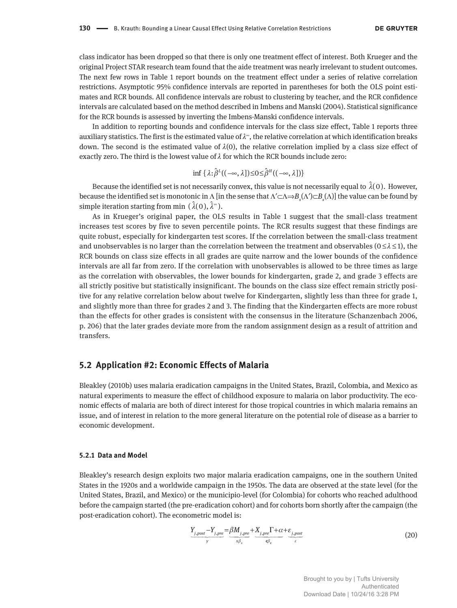class indicator has been dropped so that there is only one treatment effect of interest. Both Krueger and the original Project STAR research team found that the aide treatment was nearly irrelevant to student outcomes. The next few rows in Table 1 report bounds on the treatment effect under a series of relative correlation restrictions. Asymptotic 95% confidence intervals are reported in parentheses for both the OLS point estimates and RCR bounds. All confidence intervals are robust to clustering by teacher, and the RCR confidence intervals are calculated based on the method described in Imbens and Manski (2004). Statistical significance for the RCR bounds is assessed by inverting the Imbens-Manski confidence intervals.

In addition to reporting bounds and confidence intervals for the class size effect, Table 1 reports three auxiliary statistics. The first is the estimated value of  $\lambda^*$ , the relative correlation at which identification breaks down. The second is the estimated value of  $\lambda(0)$ , the relative correlation implied by a class size effect of exactly zero. The third is the lowest value of  $\lambda$  for which the RCR bounds include zero:

$$
\inf \, \{ \, \lambda \colon \hat{\beta}^L((-\infty,\lambda]) \leq 0 \leq \hat{\beta}^H((-\infty,\lambda]) \}
$$

Because the identified set is not necessarily convex, this value is not necessarily equal to  $\hat{\lambda}(0)$ . However, because the identified set is monotonic in Λ [in the sense that Λ′⊂Λ⇒*B<sup>x</sup>* (Λ′)⊂*B<sup>x</sup>* (Λ)] the value can be found by simple iteration starting from min  $(\lambda(0), \lambda^*)$ .

As in Krueger's original paper, the OLS results in Table 1 suggest that the small-class treatment increases test scores by five to seven percentile points. The RCR results suggest that these findings are quite robust, especially for kindergarten test scores. If the correlation between the small-class treatment and unobservables is no larger than the correlation between the treatment and observables ( $0 \le \lambda \le 1$ ), the RCR bounds on class size effects in all grades are quite narrow and the lower bounds of the confidence intervals are all far from zero. If the correlation with unobservables is allowed to be three times as large as the correlation with observables, the lower bounds for kindergarten, grade 2, and grade 3 effects are all strictly positive but statistically insignificant. The bounds on the class size effect remain strictly positive for any relative correlation below about twelve for Kindergarten, slightly less than three for grade 1, and slightly more than three for grades 2 and 3. The finding that the Kindergarten effects are more robust than the effects for other grades is consistent with the consensus in the literature (Schanzenbach 2006, p. 206) that the later grades deviate more from the random assignment design as a result of attrition and transfers.

#### **5.2 Application #2: Economic Effects of Malaria**

Bleakley (2010b) uses malaria eradication campaigns in the United States, Brazil, Colombia, and Mexico as natural experiments to measure the effect of childhood exposure to malaria on labor productivity. The economic effects of malaria are both of direct interest for those tropical countries in which malaria remains an issue, and of interest in relation to the more general literature on the potential role of disease as a barrier to economic development.

#### **5.2.1 Data and Model**

Bleakley's research design exploits two major malaria eradication campaigns, one in the southern United States in the 1920s and a worldwide campaign in the 1950s. The data are observed at the state level (for the United States, Brazil, and Mexico) or the municipio-level (for Colombia) for cohorts who reached adulthood before the campaign started (the pre-eradication cohort) and for cohorts born shortly after the campaign (the post-eradication cohort). The econometric model is:

$$
\underbrace{Y_{j,post}-Y_{j,pre}}_{y} = \underbrace{\beta M_{j,pre}}_{x\beta_x} + \underbrace{X_{j,pre}\Gamma + \alpha}_{q\beta_c} + \underbrace{\varepsilon_{j,post}}_{\varepsilon}
$$
\n(20)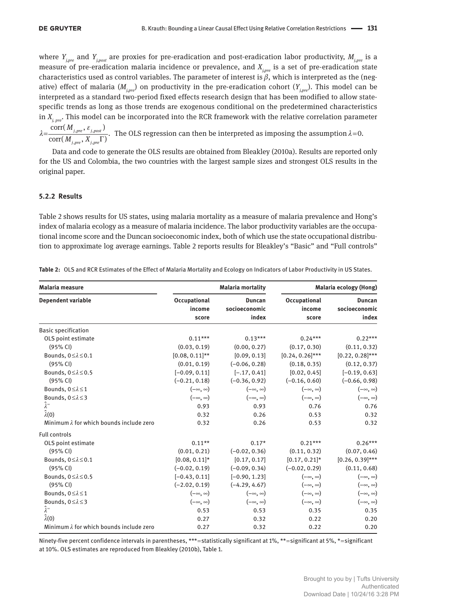where *Yj,pre* and *Yj,post* are proxies for pre-eradication and post-eradication labor productivity, *Mj*,*pre* is a measure of pre-eradication malaria incidence or prevalence, and  $X_{i, pre}$  is a set of pre-eradication state characteristics used as control variables. The parameter of interest is  $\beta$ , which is interpreted as the (negative) effect of malaria  $(M_{ijn})$  on productivity in the pre-eradication cohort  $(Y_{ijn})$ . This model can be interpreted as a standard two-period fixed effects research design that has been modified to allow statespecific trends as long as those trends are exogenous conditional on the predetermined characteristics in *Xj, pre*. This model can be incorporated into the RCR framework with the relative correlation parameter

, pre  $,$   $\circ$   $j$ ,  $j$ , pre  $,$   $\cdots$  j,  $\frac{\text{corr}(M_{j, pre}, \varepsilon_{j, post})}{\text{corr}(M_{j, pre}, X_{j, pre} \Gamma)}.$ *j pre j post j pre j pre M*  ${M}_{_{i\;nro}}, X$  $\lambda \!\!=\!\!\frac{\text{corr(}\,M_{j,pre},\,\varepsilon_{j,post})}{\text{corr(}\,M_{\cdot}\,\!-\!\,X_{\cdot}\,\!-\!\Gamma)} .$  The OLS regression can then be interpreted as imposing the assumption  $\lambda\!=\!0.$ 

Data and code to generate the OLS results are obtained from Bleakley (2010a). Results are reported only for the US and Colombia, the two countries with the largest sample sizes and strongest OLS results in the original paper.

#### **5.2.2 Results**

Table 2 shows results for US states, using malaria mortality as a measure of malaria prevalence and Hong's index of malaria ecology as a measure of malaria incidence. The labor productivity variables are the occupational income score and the Duncan socioeconomic index, both of which use the state occupational distribution to approximate log average earnings. Table 2 reports results for Bleakley's "Basic" and "Full controls"

| <b>Malaria measure</b>                          |                                 | <b>Malaria mortality</b>                |                                 | Malaria ecology (Hong)                  |
|-------------------------------------------------|---------------------------------|-----------------------------------------|---------------------------------|-----------------------------------------|
| <b>Dependent variable</b>                       | Occupational<br>income<br>score | <b>Duncan</b><br>socioeconomic<br>index | Occupational<br>income<br>score | <b>Duncan</b><br>socioeconomic<br>index |
| <b>Basic specification</b>                      |                                 |                                         |                                 |                                         |
| OLS point estimate                              | $0.11***$                       | $0.13***$                               | $0.24***$                       | $0.22***$                               |
| (95% CI)                                        | (0.03, 0.19)                    | (0.00, 0.27)                            | (0.17, 0.30)                    | (0.11, 0.32)                            |
| Bounds, $0 \leq \lambda \leq 0.1$               | $[0.08, 0.11]$ **               | [0.09, 0.13]                            | $[0.24, 0.26]$ ***              | $[0.22, 0.28]$ ***                      |
| (95% CI)                                        | (0.01, 0.19)                    | $(-0.06, 0.28)$                         | (0.18, 0.35)                    | (0.12, 0.37)                            |
| Bounds, $0 \le \lambda \le 0.5$                 | $[-0.09, 0.11]$                 | $[-.17, 0.41]$                          | [0.02, 0.45]                    | $[-0.19, 0.63]$                         |
| (95% CI)                                        | $(-0.21, 0.18)$                 | $(-0.36, 0.92)$                         | $(-0.16, 0.60)$                 | $(-0.66, 0.98)$                         |
| Bounds, 0≤ $\lambda$ ≤1                         | $(-\infty, \infty)$             | $(-\infty, \infty)$                     | $(-\infty, \infty)$             | $(-\infty, \infty)$                     |
| Bounds, $0 \leq \lambda \leq 3$                 | $(-\infty, \infty)$             | $(-\infty, \infty)$                     | $(-\infty, \infty)$             | $(-\infty, \infty)$                     |
| $\hat{\lambda}^{\infty}$                        | 0.93                            | 0.93                                    | 0.76                            | 0.76                                    |
| $\hat{\lambda}(0)$                              | 0.32                            | 0.26                                    | 0.53                            | 0.32                                    |
| Minimum $\lambda$ for which bounds include zero | 0.32                            | 0.26                                    | 0.53                            | 0.32                                    |
| <b>Full controls</b>                            |                                 |                                         |                                 |                                         |
| OLS point estimate                              | $0.11**$                        | $0.17*$                                 | $0.21***$                       | $0.26***$                               |
| (95% CI)                                        | (0.01, 0.21)                    | $(-0.02, 0.36)$                         | (0.11, 0.32)                    | (0.07, 0.46)                            |
| Bounds, $0 \leq \lambda \leq 0.1$               | $[0.08, 0.11]$ *                | [0.17, 0.17]                            | $[0.17, 0.21]$ *                | $[0.26, 0.39]$ ***                      |
| (95% CI)                                        | $(-0.02, 0.19)$                 | $(-0.09, 0.34)$                         | $(-0.02, 0.29)$                 | (0.11, 0.68)                            |
| Bounds, $0 \le \lambda \le 0.5$                 | $[-0.43, 0.11]$                 | $[-0.90, 1.23]$                         | $(-\infty, \infty)$             | $(-\infty, \infty)$                     |
| (95% CI)                                        | $(-2.02, 0.19)$                 | $(-4.29, 4.67)$                         | $(-\infty, \infty)$             | $(-\infty, \infty)$                     |
| Bounds, $0 \leq \lambda \leq 1$                 | $(-\infty, \infty)$             | $(-\infty, \infty)$                     | $(-\infty, \infty)$             | $(-\infty, \infty)$                     |
| Bounds, $0 \leq \lambda \leq 3$                 | $(-\infty, \infty)$             | $(-\infty, \infty)$                     | $(-\infty, \infty)$             | $(-\infty, \infty)$                     |
| $\hat{\lambda}^{\infty}$                        | 0.53                            | 0.53                                    | 0.35                            | 0.35                                    |
| $\hat{\lambda}(0)$                              | 0.27                            | 0.32                                    | 0.22                            | 0.20                                    |
| Minimum $\lambda$ for which bounds include zero | 0.27                            | 0.32                                    | 0.22                            | 0.20                                    |

**Table 2:** OLS and RCR Estimates of the Effect of Malaria Mortality and Ecology on Indicators of Labor Productivity in US States.

Ninety-five percent confidence intervals in parentheses, \*\*\*=statistically significant at 1%, \*\*= significant at 5%, \*= significant at 10%. OLS estimates are reproduced from Bleakley (2010b), Table 1.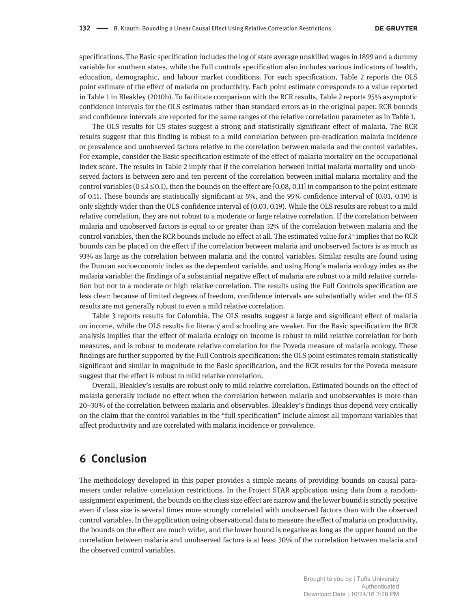specifications. The Basic specification includes the log of state average unskilled wages in 1899 and a dummy variable for southern states, while the Full controls specification also includes various indicators of health, education, demographic, and labour market conditions. For each specification, Table 2 reports the OLS point estimate of the effect of malaria on productivity. Each point estimate corresponds to a value reported in Table 1 in Bleakley (2010b). To facilitate comparison with the RCR results, Table 2 reports 95% asymptotic confidence intervals for the OLS estimates rather than standard errors as in the original paper. RCR bounds and confidence intervals are reported for the same ranges of the relative correlation parameter as in Table 1.

The OLS results for US states suggest a strong and statistically significant effect of malaria. The RCR results suggest that this finding is robust to a mild correlation between pre-eradication malaria incidence or prevalence and unobserved factors relative to the correlation between malaria and the control variables. For example, consider the Basic specification estimate of the effect of malaria mortality on the occupational index score. The results in Table 2 imply that if the correlation between initial malaria mortality and unobserved factors is between zero and ten percent of the correlation between initial malaria mortality and the control variables ( $0 \le \lambda \le 0.1$ ), then the bounds on the effect are [0.08, 0.11] in comparison to the point estimate of 0.11. These bounds are statistically significant at 5%, and the 95% confidence interval of (0.01, 0.19) is only slightly wider than the OLS confidence interval of (0.03, 0.19). While the OLS results are robust to a mild relative correlation, they are not robust to a moderate or large relative correlation. If the correlation between malaria and unobserved factors is equal to or greater than 32% of the correlation between malaria and the control variables, then the RCR bounds include no effect at all. The estimated value for  $\lambda^{\infty}$  implies that no RCR bounds can be placed on the effect if the correlation between malaria and unobserved factors is as much as 93% as large as the correlation between malaria and the control variables. Similar results are found using the Duncan socioeconomic index as the dependent variable, and using Hong's malaria ecology index as the malaria variable: the findings of a substantial negative effect of malaria are robust to a mild relative correlation but not to a moderate or high relative correlation. The results using the Full Controls specification are less clear: because of limited degrees of freedom, confidence intervals are substantially wider and the OLS results are not generally robust to even a mild relative correlation.

Table 3 reports results for Colombia. The OLS results suggest a large and significant effect of malaria on income, while the OLS results for literacy and schooling are weaker. For the Basic specification the RCR analysis implies that the effect of malaria ecology on income is robust to mild relative correlation for both measures, and is robust to moderate relative correlation for the Poveda measure of malaria ecology. These findings are further supported by the Full Controls specification: the OLS point estimates remain statistically significant and similar in magnitude to the Basic specification, and the RCR results for the Poveda measure suggest that the effect is robust to mild relative correlation.

Overall, Bleakley's results are robust only to mild relative correlation. Estimated bounds on the effect of malaria generally include no effect when the correlation between malaria and unobservables is more than 20–30% of the correlation between malaria and observables. Bleakley's findings thus depend very critically on the claim that the control variables in the "full specification" include almost all important variables that affect productivity and are correlated with malaria incidence or prevalence.

# **6 Conclusion**

The methodology developed in this paper provides a simple means of providing bounds on causal parameters under relative correlation restrictions. In the Project STAR application using data from a randomassignment experiment, the bounds on the class size effect are narrow and the lower bound is strictly positive even if class size is several times more strongly correlated with unobserved factors than with the observed control variables. In the application using observational data to measure the effect of malaria on productivity, the bounds on the effect are much wider, and the lower bound is negative as long as the upper bound on the correlation between malaria and unobserved factors is at least 30% of the correlation between malaria and the observed control variables.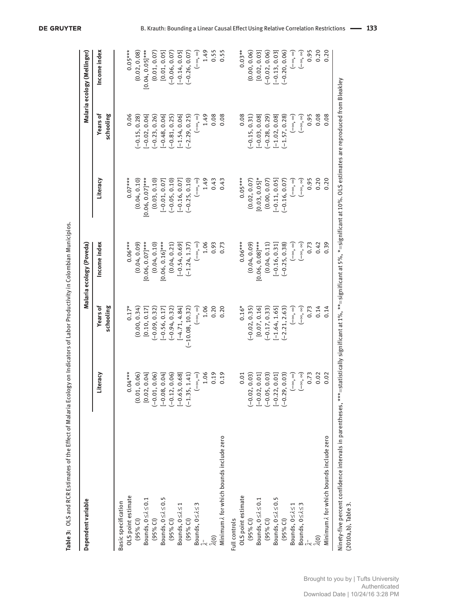| Years of<br>schooling<br>0.06<br>0.08<br>$(-0.81, 0.25)$<br>$(-2.29, 0.25)$<br>1.49<br>0.08<br>0.08<br>$(-0.28, 0.29)$<br>$[-1.02, 0.08]$<br>0.95<br>$(-0.15, 0.28)$<br>$[-0.02, 0.06]$<br>$[-0.48, 0.06]$<br>$[-1.54, 0.06]$<br>$(-0.15, 0.31)$<br>$(-1.57, 0.28)$<br>$(-0.23, 0.26)$<br>$[-0.03, 0.08]$<br>$(-\infty, \infty)$<br>$(-\infty, \infty)$<br>$(-\infty, \infty)$<br>$[0.06, 0.07]$ ***<br>1.49<br>$0.05***$<br>$[0.03, 0.05]$ *<br>0.95<br>$0.07***$<br>(0.03, 0.10)<br>$(-0.25, 0.10)$<br>0.43<br>0.43<br>Literacy<br>(0.04, 0.10)<br>$(-0.05, 0.10)$<br>$(-\infty, \infty)$<br>(0.02, 0.07)<br>(0.00, 0.07)<br>$[-0.11, 0.05]$<br>$(-\infty, \infty)$<br>$(-\infty, \infty)$<br>$[-0.01, 0.07]$<br>$[-0.16, 0.07]$<br>$(-0.16, 0.07)$<br>Income index<br>$[0.06, 0.07]$ ***<br>(0.04, 0.11)<br>$0.06***$<br>(0.04, 0.09)<br>(0.04, 0.10)<br>$[0.06, 0.16]$ ***<br>(0.04, 0.21)<br>1.06<br>$0.06***$<br>(0.04, 0.09)<br>$[0.06, 0.08]$ ***<br>0.93<br>0.73<br>$(-\infty, \infty)$<br>0.73<br>$[-0.54, 0.69]$<br>$(-1.24, 1.37)$<br>$(-\infty, \infty)$<br>$(-0.25, 0.38)$<br>$(-\infty, \infty)$<br>$[-0.16, 0.31]$<br><b>Years of</b><br>$0.16*$<br>$0.17*$<br>schooling<br>(0.00, 0.34)<br>1.06<br>0.20<br>0.73<br>$(-10.08, 10.32)$<br>0.20<br>$(-0.02, 0.35)$<br>$[-1.64, 1.65]$<br>[0.10, 0.17]<br>$[-4.71, 4.84]$<br>$(-\infty, \infty)$<br>[0.07, 0.16]<br>$(-0.17, 0.33)$<br>$(-2.21, 2.63)$<br>(-00,00)<br>( –∞, ∞)<br>$(-0.09, 0.32)$<br>$[-0.56, 0.17]$<br>$(-0.94, 0.32)$<br>Literacy<br>$.04***$<br>1.06<br>0.19<br>0.19<br>0.73<br>0.06<br>0.06<br>0.01<br>$0.04$ ]<br>0.06<br>$0.04$ ]<br>1.41)<br>0.03<br>0.01]<br>0.03)<br>$(-\infty, \infty)$<br>$-\infty$ , $\infty$<br>0.68<br>$(-\infty, \infty)$<br>0.01]<br>0.03<br>$\dot{\circ}$<br>(0.01,<br>[0.02,<br>$(-0.01,$<br>$[-0.08,$<br>$(-0.12,$<br>$[-0.63,$<br>$(-1.35,$<br>$(-0.02,$<br>$[-0.02,$<br>$(-0.05,$<br>$[-0.22,$<br>$(-0.29,$<br>Minimum $\lambda$ for which bounds include zero<br>OLS point estimate<br>OLS point estimate<br>Bounds, $0 \le \lambda \le 0.5$<br>Bounds, $0 \le \lambda \le 0.5$<br>Bounds, $0 \leq \lambda \leq 0.1$<br>Bounds, $0 \le \lambda \le 0.1$<br>Basic specification<br>Bounds, $0 \leq \lambda \leq 3$<br>Bounds, $0 \le \lambda \le 3$<br>Bounds, $0 \leq \lambda \leq 1$<br>Bounds, $0 \leq \lambda \leq 1$<br>$(95%$ Cl)<br>$(95%$ Cl)<br>$(95%$ Cl)<br>$(95%$ Cl)<br>Full controls<br>$(95%$ Cl)<br>$(95%$ CI)<br>$(95%$ Cl)<br>$\hat{\lambda}(0)$ | Dependent variable |  | Malaria ecology (Poveda) |  | Malaria ecology (Mellinger) |
|--------------------------------------------------------------------------------------------------------------------------------------------------------------------------------------------------------------------------------------------------------------------------------------------------------------------------------------------------------------------------------------------------------------------------------------------------------------------------------------------------------------------------------------------------------------------------------------------------------------------------------------------------------------------------------------------------------------------------------------------------------------------------------------------------------------------------------------------------------------------------------------------------------------------------------------------------------------------------------------------------------------------------------------------------------------------------------------------------------------------------------------------------------------------------------------------------------------------------------------------------------------------------------------------------------------------------------------------------------------------------------------------------------------------------------------------------------------------------------------------------------------------------------------------------------------------------------------------------------------------------------------------------------------------------------------------------------------------------------------------------------------------------------------------------------------------------------------------------------------------------------------------------------------------------------------------------------------------------------------------------------------------------------------------------------------------------------------------------------------------------------------------------------------------------------------------------------------------------------------------------------------------------------------------------------------------------------------------------------------------------------------------------------------------------------------------------------------------------------------|--------------------|--|--------------------------|--|-----------------------------|
|                                                                                                                                                                                                                                                                                                                                                                                                                                                                                                                                                                                                                                                                                                                                                                                                                                                                                                                                                                                                                                                                                                                                                                                                                                                                                                                                                                                                                                                                                                                                                                                                                                                                                                                                                                                                                                                                                                                                                                                                                                                                                                                                                                                                                                                                                                                                                                                                                                                                                      |                    |  |                          |  | Income index                |
|                                                                                                                                                                                                                                                                                                                                                                                                                                                                                                                                                                                                                                                                                                                                                                                                                                                                                                                                                                                                                                                                                                                                                                                                                                                                                                                                                                                                                                                                                                                                                                                                                                                                                                                                                                                                                                                                                                                                                                                                                                                                                                                                                                                                                                                                                                                                                                                                                                                                                      |                    |  |                          |  |                             |
|                                                                                                                                                                                                                                                                                                                                                                                                                                                                                                                                                                                                                                                                                                                                                                                                                                                                                                                                                                                                                                                                                                                                                                                                                                                                                                                                                                                                                                                                                                                                                                                                                                                                                                                                                                                                                                                                                                                                                                                                                                                                                                                                                                                                                                                                                                                                                                                                                                                                                      |                    |  |                          |  | $0.05***$                   |
|                                                                                                                                                                                                                                                                                                                                                                                                                                                                                                                                                                                                                                                                                                                                                                                                                                                                                                                                                                                                                                                                                                                                                                                                                                                                                                                                                                                                                                                                                                                                                                                                                                                                                                                                                                                                                                                                                                                                                                                                                                                                                                                                                                                                                                                                                                                                                                                                                                                                                      |                    |  |                          |  | (0.02, 0.08)                |
|                                                                                                                                                                                                                                                                                                                                                                                                                                                                                                                                                                                                                                                                                                                                                                                                                                                                                                                                                                                                                                                                                                                                                                                                                                                                                                                                                                                                                                                                                                                                                                                                                                                                                                                                                                                                                                                                                                                                                                                                                                                                                                                                                                                                                                                                                                                                                                                                                                                                                      |                    |  |                          |  | $[0.04, 0.05]$ ***          |
|                                                                                                                                                                                                                                                                                                                                                                                                                                                                                                                                                                                                                                                                                                                                                                                                                                                                                                                                                                                                                                                                                                                                                                                                                                                                                                                                                                                                                                                                                                                                                                                                                                                                                                                                                                                                                                                                                                                                                                                                                                                                                                                                                                                                                                                                                                                                                                                                                                                                                      |                    |  |                          |  | (0.01, 0.07)                |
|                                                                                                                                                                                                                                                                                                                                                                                                                                                                                                                                                                                                                                                                                                                                                                                                                                                                                                                                                                                                                                                                                                                                                                                                                                                                                                                                                                                                                                                                                                                                                                                                                                                                                                                                                                                                                                                                                                                                                                                                                                                                                                                                                                                                                                                                                                                                                                                                                                                                                      |                    |  |                          |  | [0.01, 0.05]                |
|                                                                                                                                                                                                                                                                                                                                                                                                                                                                                                                                                                                                                                                                                                                                                                                                                                                                                                                                                                                                                                                                                                                                                                                                                                                                                                                                                                                                                                                                                                                                                                                                                                                                                                                                                                                                                                                                                                                                                                                                                                                                                                                                                                                                                                                                                                                                                                                                                                                                                      |                    |  |                          |  | $(-0.06, 0.07)$             |
|                                                                                                                                                                                                                                                                                                                                                                                                                                                                                                                                                                                                                                                                                                                                                                                                                                                                                                                                                                                                                                                                                                                                                                                                                                                                                                                                                                                                                                                                                                                                                                                                                                                                                                                                                                                                                                                                                                                                                                                                                                                                                                                                                                                                                                                                                                                                                                                                                                                                                      |                    |  |                          |  | $[-0.14, 0.05]$             |
|                                                                                                                                                                                                                                                                                                                                                                                                                                                                                                                                                                                                                                                                                                                                                                                                                                                                                                                                                                                                                                                                                                                                                                                                                                                                                                                                                                                                                                                                                                                                                                                                                                                                                                                                                                                                                                                                                                                                                                                                                                                                                                                                                                                                                                                                                                                                                                                                                                                                                      |                    |  |                          |  | $(-0.26, 0.07)$             |
|                                                                                                                                                                                                                                                                                                                                                                                                                                                                                                                                                                                                                                                                                                                                                                                                                                                                                                                                                                                                                                                                                                                                                                                                                                                                                                                                                                                                                                                                                                                                                                                                                                                                                                                                                                                                                                                                                                                                                                                                                                                                                                                                                                                                                                                                                                                                                                                                                                                                                      |                    |  |                          |  | $(-\infty, \infty)$         |
|                                                                                                                                                                                                                                                                                                                                                                                                                                                                                                                                                                                                                                                                                                                                                                                                                                                                                                                                                                                                                                                                                                                                                                                                                                                                                                                                                                                                                                                                                                                                                                                                                                                                                                                                                                                                                                                                                                                                                                                                                                                                                                                                                                                                                                                                                                                                                                                                                                                                                      |                    |  |                          |  | 1.49                        |
|                                                                                                                                                                                                                                                                                                                                                                                                                                                                                                                                                                                                                                                                                                                                                                                                                                                                                                                                                                                                                                                                                                                                                                                                                                                                                                                                                                                                                                                                                                                                                                                                                                                                                                                                                                                                                                                                                                                                                                                                                                                                                                                                                                                                                                                                                                                                                                                                                                                                                      |                    |  |                          |  | 0.55                        |
|                                                                                                                                                                                                                                                                                                                                                                                                                                                                                                                                                                                                                                                                                                                                                                                                                                                                                                                                                                                                                                                                                                                                                                                                                                                                                                                                                                                                                                                                                                                                                                                                                                                                                                                                                                                                                                                                                                                                                                                                                                                                                                                                                                                                                                                                                                                                                                                                                                                                                      |                    |  |                          |  | 0.55                        |
|                                                                                                                                                                                                                                                                                                                                                                                                                                                                                                                                                                                                                                                                                                                                                                                                                                                                                                                                                                                                                                                                                                                                                                                                                                                                                                                                                                                                                                                                                                                                                                                                                                                                                                                                                                                                                                                                                                                                                                                                                                                                                                                                                                                                                                                                                                                                                                                                                                                                                      |                    |  |                          |  |                             |
|                                                                                                                                                                                                                                                                                                                                                                                                                                                                                                                                                                                                                                                                                                                                                                                                                                                                                                                                                                                                                                                                                                                                                                                                                                                                                                                                                                                                                                                                                                                                                                                                                                                                                                                                                                                                                                                                                                                                                                                                                                                                                                                                                                                                                                                                                                                                                                                                                                                                                      |                    |  |                          |  | $0.03**$                    |
|                                                                                                                                                                                                                                                                                                                                                                                                                                                                                                                                                                                                                                                                                                                                                                                                                                                                                                                                                                                                                                                                                                                                                                                                                                                                                                                                                                                                                                                                                                                                                                                                                                                                                                                                                                                                                                                                                                                                                                                                                                                                                                                                                                                                                                                                                                                                                                                                                                                                                      |                    |  |                          |  | (0.00, 0.06)                |
|                                                                                                                                                                                                                                                                                                                                                                                                                                                                                                                                                                                                                                                                                                                                                                                                                                                                                                                                                                                                                                                                                                                                                                                                                                                                                                                                                                                                                                                                                                                                                                                                                                                                                                                                                                                                                                                                                                                                                                                                                                                                                                                                                                                                                                                                                                                                                                                                                                                                                      |                    |  |                          |  | [0.02, 0.03]                |
|                                                                                                                                                                                                                                                                                                                                                                                                                                                                                                                                                                                                                                                                                                                                                                                                                                                                                                                                                                                                                                                                                                                                                                                                                                                                                                                                                                                                                                                                                                                                                                                                                                                                                                                                                                                                                                                                                                                                                                                                                                                                                                                                                                                                                                                                                                                                                                                                                                                                                      |                    |  |                          |  | $(-0.02, 0.06)$             |
|                                                                                                                                                                                                                                                                                                                                                                                                                                                                                                                                                                                                                                                                                                                                                                                                                                                                                                                                                                                                                                                                                                                                                                                                                                                                                                                                                                                                                                                                                                                                                                                                                                                                                                                                                                                                                                                                                                                                                                                                                                                                                                                                                                                                                                                                                                                                                                                                                                                                                      |                    |  |                          |  | $[-0.13, 0.03]$             |
|                                                                                                                                                                                                                                                                                                                                                                                                                                                                                                                                                                                                                                                                                                                                                                                                                                                                                                                                                                                                                                                                                                                                                                                                                                                                                                                                                                                                                                                                                                                                                                                                                                                                                                                                                                                                                                                                                                                                                                                                                                                                                                                                                                                                                                                                                                                                                                                                                                                                                      |                    |  |                          |  | $(-0.20, 0.06)$             |
|                                                                                                                                                                                                                                                                                                                                                                                                                                                                                                                                                                                                                                                                                                                                                                                                                                                                                                                                                                                                                                                                                                                                                                                                                                                                                                                                                                                                                                                                                                                                                                                                                                                                                                                                                                                                                                                                                                                                                                                                                                                                                                                                                                                                                                                                                                                                                                                                                                                                                      |                    |  |                          |  | $(-\infty, \infty)$         |
|                                                                                                                                                                                                                                                                                                                                                                                                                                                                                                                                                                                                                                                                                                                                                                                                                                                                                                                                                                                                                                                                                                                                                                                                                                                                                                                                                                                                                                                                                                                                                                                                                                                                                                                                                                                                                                                                                                                                                                                                                                                                                                                                                                                                                                                                                                                                                                                                                                                                                      |                    |  |                          |  | $\frac{8}{3}$               |
|                                                                                                                                                                                                                                                                                                                                                                                                                                                                                                                                                                                                                                                                                                                                                                                                                                                                                                                                                                                                                                                                                                                                                                                                                                                                                                                                                                                                                                                                                                                                                                                                                                                                                                                                                                                                                                                                                                                                                                                                                                                                                                                                                                                                                                                                                                                                                                                                                                                                                      |                    |  |                          |  | 0.95                        |
| 0.08<br>0.20<br>0.42<br>0.14<br>0.02<br>$\hat{\lambda}(0)$                                                                                                                                                                                                                                                                                                                                                                                                                                                                                                                                                                                                                                                                                                                                                                                                                                                                                                                                                                                                                                                                                                                                                                                                                                                                                                                                                                                                                                                                                                                                                                                                                                                                                                                                                                                                                                                                                                                                                                                                                                                                                                                                                                                                                                                                                                                                                                                                                           |                    |  |                          |  | 0.20                        |
| 0.08<br>0.20<br>0.39<br>0.14<br>0.02<br>Minimum 2 for which bounds include zero                                                                                                                                                                                                                                                                                                                                                                                                                                                                                                                                                                                                                                                                                                                                                                                                                                                                                                                                                                                                                                                                                                                                                                                                                                                                                                                                                                                                                                                                                                                                                                                                                                                                                                                                                                                                                                                                                                                                                                                                                                                                                                                                                                                                                                                                                                                                                                                                      |                    |  |                          |  | 0.20                        |

**Table 3:** OLS and RCR Estimates of the Effect of Malaria Ecology on Indicators of Labor Productivity in Colombian Municipios.

Table 3: OLS and RCR Estimates of the Effect of Malaria Ecology on Indicators of Labor Productivity in Colombian Municipios.

(2010a,b), Table 3.

(2010a,b), Table 3.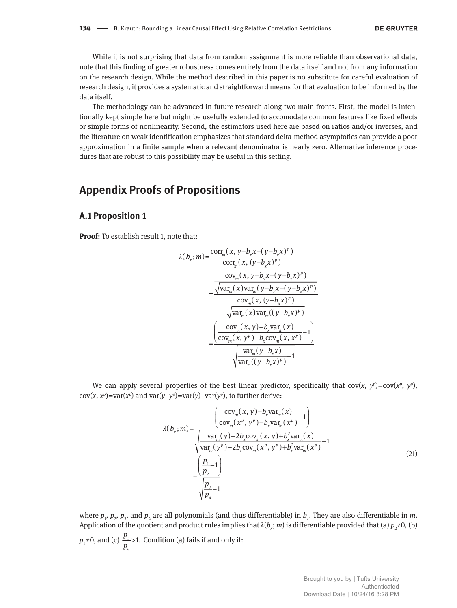While it is not surprising that data from random assignment is more reliable than observational data, note that this finding of greater robustness comes entirely from the data itself and not from any information on the research design. While the method described in this paper is no substitute for careful evaluation of research design, it provides a systematic and straightforward means for that evaluation to be informed by the data itself.

The methodology can be advanced in future research along two main fronts. First, the model is intentionally kept simple here but might be usefully extended to accomodate common features like fixed effects or simple forms of nonlinearity. Second, the estimators used here are based on ratios and/or inverses, and the literature on weak identification emphasizes that standard delta-method asymptotics can provide a poor approximation in a finite sample when a relevant denominator is nearly zero. Alternative inference procedures that are robust to this possibility may be useful in this setting.

# **Appendix Proofs of Propositions**

## **A.1 Proposition 1**

**Proof:** To establish result 1, note that:

$$
\lambda(b_x; m) = \frac{\text{corr}_{m}(x, y - b_x x - (y - b_x x)^p)}{\text{corr}_{m}(x, (y - b_x x)^p)}
$$

$$
= \frac{\text{cov}_{m}(x, y - b_x x - (y - b_x x)^p)}{\text{var}_{m}(x) \text{var}_{m}(y - b_x x - (y - b_x x)^p)}
$$

$$
= \frac{\text{cov}_{m}(x, (y - b_x x)^p)}{\text{var}_{m}(x) \text{var}_{m}((y - b_x x)^p)}
$$

$$
= \frac{\text{cov}_{m}(x, y) - b_x \text{var}_{m}(x)}{\text{cov}_{m}(x, y^p) - b_x \text{cov}_{m}(x, x^p)} - 1}
$$

We can apply several properties of the best linear predictor, specifically that  $cov(x, y^p) = cov(x^p, y^p)$ ,  $cov(x, x^p) = var(x^p)$  and  $var(y-y^p) = var(y) - var(y^p)$ , to further derive:

$$
\lambda(b_x; m) = \frac{\left(\frac{\text{cov}_m(x, y) - b_x \text{var}_m(x)}{\text{cov}_m(x^p, y^p) - b_x \text{var}_m(x^p)} - 1\right)}{\sqrt{\text{var}_m(y) - 2b_x \text{cov}_m(x, y) + b_x^2 \text{var}_m(x)}} - 1
$$
\n
$$
= \frac{\left(\frac{p_1}{p_2}\right)}{\sqrt{\frac{p_1}{p_2} - 1}}
$$
\n
$$
(21)
$$

where  $p_1$ ,  $p_2$ ,  $p_3$ , and  $p_4$  are all polynomials (and thus differentiable) in  $b_x$ . They are also differentiable in m. Application of the quotient and product rules implies that  $\lambda(b_x;m)$  is differentiable provided that (a)  $p_2\neq 0$ , (b)

 $p_4 \neq 0$ , and (c)  $\frac{P_3}{P_4}$ 4  $\frac{p_3}{p_2} > 1.$  $\frac{p_3}{p_4}$ >1. Condition (a) fails if and only if: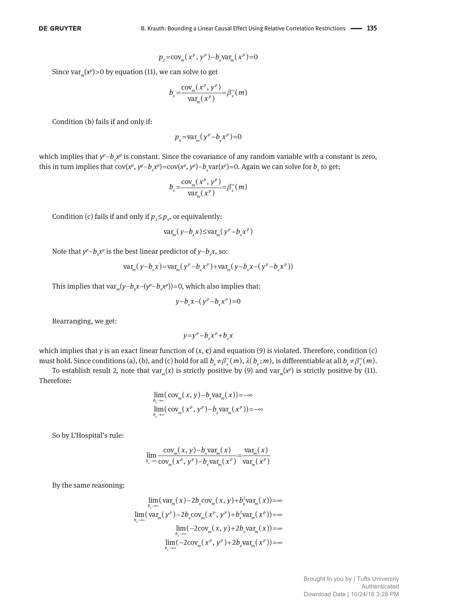$$
p_2 = \text{cov}_m(x^p, y^p) - b_x \text{var}_m(x^p) = 0
$$

Since  $var_m(x^p)$ >O by equation (11), we can solve to get

$$
b_x = \frac{\text{cov}_m(x^p, y^p)}{\text{var}_m(x^p)} = \beta_x^{\infty}(m)
$$

Condition (b) fails if and only if:

 $p_4 = \text{var}_{m} (y^p - b_x x^p) = 0$ 

which implies that  $y^p - b_\chi x^p$  is constant. Since the covariance of any random variable with a constant is zero, this in turn implies that  $cov(x^p, y^p - b_x x^p) = cov(x^p, y^p) - b_x var(x^p) = 0$ . Again we can solve for  $b_x$  to get:

$$
b_x = \frac{\text{cov}_m(x^p, y^p)}{\text{var}_m(x^p)} = \beta_x^{\infty}(m)
$$

Condition (c) fails if and only if  $p_{3} \leq p_{4}$ , or equivalently:

$$
\text{var}_{m}(y - b_{x}x) \leq \text{var}_{m}(y^{p} - b_{x}x^{p})
$$

Note that  $y^p$ – $b_x^{\phantom{p}}x^p$  is the best linear predictor of  $y$ – $b_x^{\phantom{p}}x$ , so:

$$
var_m(y - b_x x) = var_m(y^p - b_x x^p) + var_m(y - b_x x - (y^p - b_x x^p))
$$

This implies that  $var_m(y-b_xx-(y^p-b_xx^p))=0$ , which also implies that:

$$
y-b_xx-(y^p-b_xx^p)=0
$$

Rearranging, we get:

$$
y = y^p - b_x x^p + b_x x
$$

which implies that *y* is an exact linear function of  $(x, c)$  and equation (9) is violated. Therefore, condition (c) must hold. Since conditions (a), (b), and (c) hold for all  $b_x \neq \beta_x^*(m)$ ,  $\lambda(b_x;m)$ , is differentiable at all  $b_x \neq \beta_x^*(m)$ .

To establish result 2, note that var<sub>*m*</sub>(*x*) is strictly positive by (9) and var<sub>*m*</sub>(*x*<sup>*n*</sup>) is strictly positive by (11). Therefore:

$$
\lim_{b_x \to \infty} (\text{cov}_m(x, y) - b_x \text{var}_m(x)) = -\infty
$$
  

$$
\lim_{b_x \to \infty} (\text{cov}_m(x^p, y^p) - b_x \text{var}_m(x^p)) = -\infty
$$

So by L'Hospital's rule:

$$
\lim_{b_x \to \infty} \frac{\text{cov}_m(x, y) - b_x \text{var}_m(x)}{\text{cov}_m(x^p, y^p) - b_x \text{var}_m(x^p)} = \frac{\text{var}_m(x)}{\text{var}_m(x^p)}
$$

By the same reasoning:

$$
\lim_{b_x \to \infty} (\text{var}_{m}(x) - 2b_x \text{cov}_{m}(x, y) + b_x^2 \text{var}_{m}(x)) = \infty
$$
\n
$$
\lim_{b_x \to \infty} (\text{var}_{m}(y^p) - 2b_x \text{cov}_{m}(x^p, y^p) + b_x^2 \text{var}_{m}(x^p)) = \infty
$$
\n
$$
\lim_{b_x \to \infty} (-2\text{cov}_{m}(x, y) + 2b_x \text{var}_{m}(x)) = \infty
$$
\n
$$
\lim_{b_x \to \infty} (-2\text{cov}_{m}(x^p, y^p) + 2b_x \text{var}_{m}(x^p)) = \infty
$$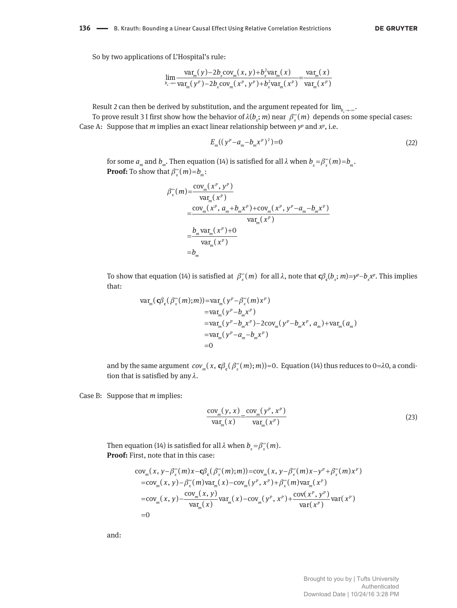So by two applications of L'Hospital's rule:

$$
\lim_{b_x \to \infty} \frac{\text{var}_{m}(y) - 2b_x \text{cov}_{m}(x, y) + b_x^2 \text{var}_{m}(x)}{\text{var}_{m}(y^p) - 2b_x \text{cov}_{m}(x^p, y^p) + b_x^2 \text{var}_{m}(x^p)} = \frac{\text{var}_{m}(x)}{\text{var}_{m}(x^p)}
$$

Result 2 can then be derived by substitution, and the argument repeated for  $\lim_{b,\to\infty}$ .

*To prove result 3 I first show how the behavior of*  $\lambda(b_x; m)$  *near*  $\beta_x^*(m)$  *depends on some special cases:* Case A: Suppose that *m* implies an exact linear relationship between  $y^p$  and  $x^p$ , i.e.

$$
E_m((y^p - a_m - b_m x^p)^2) = 0
$$
\n(22)

for some  $a_m$  and  $b_m$ . Then equation (14) is satisfied for all  $\lambda$  when  $b_x = \beta_x^*(m) = b_m$ . **Proof:** To show that  $\beta_x^*(m) = b_m$ :

$$
\beta_x^{\infty}(m) = \frac{\text{cov}_m(x^p, y^p)}{\text{var}_m(x^p)} \\
= \frac{\text{cov}_m(x^p, a_m + b_m x^p) + \text{cov}_m(x^p, y^p - a_m - b_m x^p)}{\text{var}_m(x^p)} \\
= \frac{b_m \text{var}_m(x^p) + 0}{\text{var}_m(x^p)} \\
= b_m
$$

To show that equation (14) is satisfied at  $β_x^*(m)$  for all λ, note that **. This implies** that:

$$
\begin{aligned} \text{var}_{m}(\mathbf{c}\beta_{\mathbf{c}}(\beta_{x}^{\infty}(m);m)) &= \text{var}_{m}(y^{p} - \beta_{x}^{\infty}(m)x^{p}) \\ &= \text{var}_{m}(y^{p} - b_{m}x^{p}) \\ &= \text{var}_{m}(y^{p} - b_{m}x^{p}) - 2\text{cov}_{m}(y^{p} - b_{m}x^{p}, a_{m}) + \text{var}_{m}(a_{m}) \\ &= \text{var}_{m}(y^{p} - a_{m} - b_{m}x^{p}) \\ &= 0 \end{aligned}
$$

and by the same argument  $cov_m(x, \mathbf{c} \beta_c(\beta_x^*(m); m))=0.$  ${\bf c}\beta_{\rm c}(\beta_{\rm x}^{\infty}(m);m)$ )=0. Equation (14) thus reduces to 0= $\lambda$ 0, a condition that is satisfied by any  $\lambda$ .

Case B: Suppose that *m* implies:

$$
\frac{\text{cov}_m(y, x)}{\text{var}_m(x)} = \frac{\text{cov}_m(y^p, x^p)}{\text{var}_m(x^p)}
$$
(23)

Then equation (14) is satisfied for all  $\lambda$  when  $b_x = \beta_x^{\infty}(m)$ . **Proof:** First, note that in this case:

$$
\begin{aligned}\n\text{cov}_{m}(x, y - \beta_{x}^{\infty}(m)x - \mathbf{c}\beta_{\mathbf{c}}(\beta_{x}^{\infty}(m); m)) &= \text{cov}_{m}(x, y - \beta_{x}^{\infty}(m)x - y^{p} + \beta_{x}^{\infty}(m)x^{p}) \\
&= \text{cov}_{m}(x, y) - \beta_{x}^{\infty}(m)\text{var}_{m}(x) - \text{cov}_{m}(y^{p}, x^{p}) + \beta_{x}^{\infty}(m)\text{var}_{m}(x^{p}) \\
&= \text{cov}_{m}(x, y) - \frac{\text{cov}_{m}(x, y)}{\text{var}_{m}(x)}\text{var}_{m}(x) - \text{cov}_{m}(y^{p}, x^{p}) + \frac{\text{cov}(x^{p}, y^{p})}{\text{var}(x^{p})}\text{var}(x^{p}) \\
&= 0\n\end{aligned}
$$

and: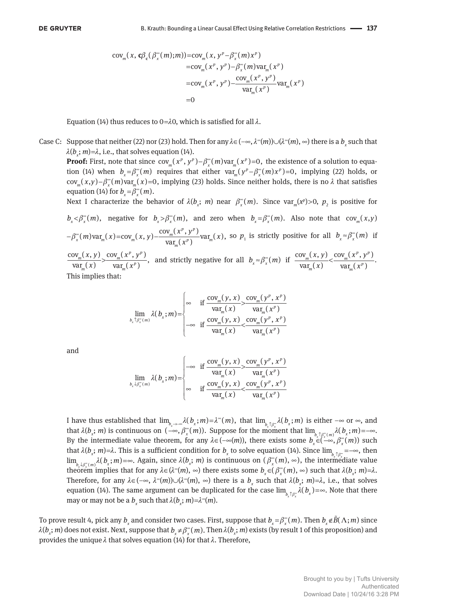$$
\begin{aligned} \text{cov}_{m}(x, \mathbf{c}\beta_{\mathbf{c}}(\beta_{x}^{\infty}(m);m)) = & \text{cov}_{m}(x, y^{p} - \beta_{x}^{\infty}(m)x^{p}) \\ &= & \text{cov}_{m}(x^{p}, y^{p}) - \beta_{x}^{\infty}(m)\text{var}_{m}(x^{p}) \\ &= & \text{cov}_{m}(x^{p}, y^{p}) - \frac{\text{cov}_{m}(x^{p}, y^{p})}{\text{var}_{m}(x^{p})}\text{var}_{m}(x^{p}) \\ &= & 0 \end{aligned}
$$

Equation (14) thus reduces to  $0=$ λ0, which is satisfied for all  $\lambda$ .

Case C: Suppose that neither (22) nor (23) hold. Then for any  $\lambda \in (-\infty, \lambda^{\infty}(m)) \cup (\lambda^{\infty}(m), \infty)$  there is a  $b_x$  such that  $\lambda(b_x; m)$ = $\lambda$ , i.e., that solves equation (14).

**Proof:** First, note that since  $cov_m(x^p, y^p) - \beta_x^{\infty}(m)var_m(x^p) = 0$ , the existence of a solution to equation (14) when  $b_x = \beta_x^{\infty}(m)$  requires that either  $var_m(y^p - \beta_x^{\infty}(m)x^p) = 0$ , implying (22) holds, or  $cov_m(x,y) - \beta_x^*(m) var_m(x) = 0$ , *implying (23) holds. Since neither holds*, there is no  $\lambda$  that satisfies equation (14) for  $b_x = \beta_x^{\infty}(m)$ .

Next I characterize the behavior of  $\lambda(b_x; m)$  near  $\beta_x^*(m)$ . Since var<sub>*m*</sub>( $x^p$ )>0,  $p_2$  is positive for

 $b_x < \beta_x^{\infty}(m)$ , negative for  $b_x > \beta_x^{\infty}(m)$ , and zero when  $b_x = \beta_x^{\infty}(m)$ . Also note that  $cov_m(x,y)$  $-\beta_{\alpha}^{\infty}(m) \text{var}_{m}(x) = \text{cov}_{m}(x, y) - \frac{\text{cov}_{m}(x^{p}, y^{p})}{\text{var}_{m}(x^{p})} \text{var}_{m}(x),$  $-\beta_{x}^{\infty}(m)$ var<sub>m</sub> $(x)$ =cov<sub>m</sub> $(x, y)$ - $\frac{\text{cov}_{m}(x^{p}, y^{p})}{\text{var}_{m}(x^{p})}$ var<sub>m</sub>  $-\beta_x^{\infty}(m) \text{var}_m(x) = \text{cov}_m(x, y) - \frac{\text{cov}_m(x^p, y^p)}{\text{var}_m(x^p)} \text{var}_m(x)$ , so  $p_1$  is strictly positive for all  $b_x \approx \beta_x^{\infty}(m)$  if  $\frac{\text{cov}_m(x, y)}{\text{var}_m(x)} > \frac{\text{cov}_m(x^p, y^p)}{\text{var}_m(x^p)},$  $\frac{\partial w_m(x, y)}{\partial x_m(x)} > \frac{\partial w_m(x^p, y^p)}{\partial x_m(x^p)}$  $(x, y)$  cov<sub>m</sub> $(x^p, y)$  $\frac{f(x,y)}{f(x)} > \frac{\text{cov}_{m}(x^{p}, y^{p})}{\text{var}_{m}(x^{p})}$ , and strictly negative for all  $b_{x} \approx \beta_{x}^{\infty}(m)$  if  $\frac{\text{cov}_{m}(x, y)}{\text{var}_{m}(x)} < \frac{\text{cov}_{m}(x^{p}, y^{p})}{\text{var}_{m}(x^{p})}$ .  $\frac{m(x, y)}{m(x)} < \frac{\text{cov}_m(x^p, y^p)}{\text{var}_m(x^p)}$  $(x, y)$   $cov_m(x^p, y)$ *x*  $var_m(x)$  $\overline{\phantom{a}}$ 

This implies that:

$$
\lim_{b_x \uparrow \beta_x^{\infty}(m)} \lambda(b_x; m) = \begin{cases} \n\infty & \text{if } \frac{\text{cov}_m(y, x)}{\text{var}_m(x)} > \frac{\text{cov}_m(y^p, x^p)}{\text{var}_m(x^p)} \\ \n-\infty & \text{if } \frac{\text{cov}_m(y, x)}{\text{var}_m(x)} < \frac{\text{cov}_m(y^p, x^p)}{\text{var}_m(x^p)} \n\end{cases}
$$

and

$$
\lim_{b_x \to \beta_x^-(m)} \lambda(b_x; m) = \begin{cases} -\infty & \text{if } \frac{\text{cov}_m(y, x)}{\text{var}_m(x)} > \frac{\text{cov}_m(y^p, x^p)}{\text{var}_m(x^p)} \\ \infty & \text{if } \frac{\text{cov}_m(y, x)}{\text{var}_m(x)} < \frac{\text{cov}_m(y^p, x^p)}{\text{var}_m(x^p)} \end{cases}
$$

*I* have thus established that  $\lim_{b_x \to -\infty} \lambda(b_x; m) = \lambda^{\infty}(m)$ , that  $\lim_{b_x \uparrow \beta^{\infty}_x} \lambda(b_x; m)$  is either  $-\infty$  or  $\infty$ , and that  $\lambda(b_x; m)$  is continuous on  $\lambda(c_x, \beta_x^m(m))$ . Suppose for the moment that  $\lim_{b_x \uparrow \beta_x^m(m)} \lambda(b_x; m) = -\infty$ . By the intermediate value theorem, for any  $\lambda \in (-\infty(m))$ , there exists some  $b_x \in (-\infty, \beta_x^{\infty}(m))$  such that  $\lambda(b_x; m) = \lambda$ . This is a sufficient condition for  $b_x$  to solve equation (14). Since  $\lim_{b_x \uparrow \beta_x^*} = -\infty$ , then *x x*  $\lim_{b\downarrow\beta^{\infty}_k(m)}\lambda(b_x;m)=\infty$ . Again, since  $\lambda(b_x;m)$  is continuous on  $(\beta^{\infty}_x(m),\infty)$ , the intermediate value *theorem* implies that for any  $\lambda \in (\lambda^{\infty}(m), \infty)$  there exists some  $b_x \in (\beta_x^{\infty}(m), \infty)$  such that  $\lambda(b_x; m) = \lambda$ . Therefore, for any  $\lambda \in (-\infty, \lambda^{\infty}(m)) \cup (\lambda^{\infty}(m), \infty)$  there is a  $b_x$  such that  $\lambda(b_x; m)=\lambda$ , i.e., that solves equation (14). The same argument can be duplicated for the case  $\lim_{b\downarrow b\infty} \lambda(b_x) = \infty$ . Note that there *x x* may or may not be a  $b_x$  such that  $\lambda(b_x; m) = \lambda^{\infty}(m)$ .

To prove result 4, pick any  $b_x$  and consider two cases. First, suppose that  $b_x = \beta_x^{\infty}(m)$ . Then  $b_x \notin \tilde{B}(\Lambda; m)$  since  $\lambda(b_x;m)$  does not exist. Next, suppose that  $b_x\neq\beta_x^*(m)$ . Then  $\lambda(b_x;m)$  exists (by result 1 of this proposition) and provides the unique  $\lambda$  that solves equation (14) for that  $\lambda$ . Therefore,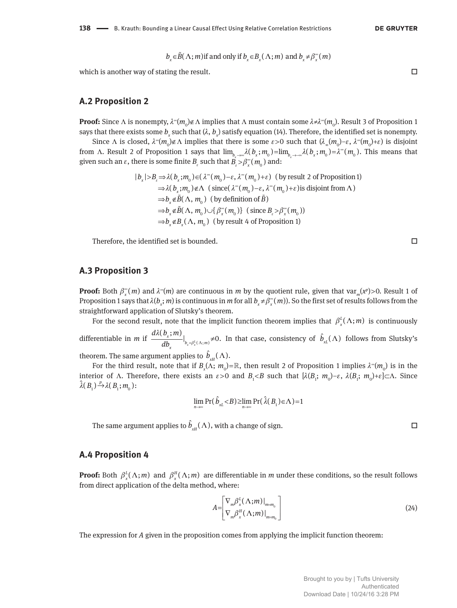$$
b_x \in \widetilde{B}(\Lambda; m)
$$
 if and only if  $b_x \in B_x(\Lambda; m)$  and  $b_x \neq \beta_x^{\infty}(m)$ 

which is another way of stating the result.  $\Box$ 

#### **A.2 Proposition 2**

**Proof:** Since Λ is nonempty,  $\lambda^{\infty}(m_0) \notin \Lambda$  implies that Λ must contain some  $\lambda \neq \lambda^{\infty}(m_0)$ . Result 3 of Proposition 1 says that there exists some  $b_{_\chi}$  such that ( $\lambda,$   $b_{_\chi}$ ) satisfy equation (14). Therefore, the identified set is nonempty.

Since  $\Lambda$  is closed,  $\lambda^{\infty}(m_0) \notin \Lambda$  implies that there is some  $\varepsilon > 0$  such that  $(\lambda_{\infty}(m_0) - \varepsilon, \lambda^{\infty}(m_0) + \varepsilon)$  is disjoint from  $\Lambda$ . Result 2 of Proposition 1 says that  $\lim_{b_x\to\infty}\lambda(b_x;m_0)=\lim_{b_x\to\infty}\lambda(b_x;m_0)=\lambda^{\infty}(m_0)$ . This means that given such an  $\varepsilon$ , there is some finite  $B_{\varepsilon}$  such that  $\hat{B_{\varepsilon}} > \beta^{\infty}_{x}(m_{0})$  and:

$$
|b_x| > B_{\varepsilon} \Rightarrow \lambda(b_x; m_0) \in (\lambda^{\infty}(m_0) - \varepsilon, \lambda^{\infty}(m_0) + \varepsilon)
$$
 (by result 2 of Proposition 1)  
\n
$$
\Rightarrow \lambda(b_x; m_0) \notin \Lambda \text{ (since } (\lambda^{\infty}(m_0) - \varepsilon, \lambda^{\infty}(m_0) + \varepsilon) \text{ is disjoint from } \Lambda)
$$
  
\n
$$
\Rightarrow b_x \notin \widetilde{B}(\Lambda, m_0) \text{ (by definition of } \widetilde{B})
$$
  
\n
$$
\Rightarrow b_x \notin \widetilde{B}(\Lambda, m_0) \cup \{\beta_x^{\infty}(m_0)\} \text{ (since } B_{\varepsilon} > \beta_x^{\infty}(m_0))
$$
  
\n
$$
\Rightarrow b_x \notin B_x(\Lambda, m_0) \text{ (by result 4 of Proposition 1)}
$$

Therefore, the identified set is bounded.  $\Box$ 

## **A.3 Proposition 3**

**Proof:** Both  $\beta_x^*(m)$  and  $\lambda^*(m)$  are continuous in *m* by the quotient rule, given that var<sub>*m*</sub>(*x*<sup>*p*</sup>)>0. Result 1 of Proposition 1 says that  $\lambda(b_x; m)$  is continuous in *m* for all  $b_x \neq \beta_x^*(m)$ ). So the first set of results follows from the straightforward application of Slutsky's theorem.

For the second result, note that the implicit function theorem implies that  $\beta_x^L(\Lambda; m)$  is continuously differentiable in *m* if  $\frac{m(x, y, ..., y)}{dy}|_{b_x = \beta_x^L(\Lambda; m)}$  $\frac{(b_x; m)}{db}\Big|_{b_x = \beta_x^L(\Lambda; m)} \neq 0.$ *x b*<sub>*x*</sub>= $\beta_x^L(\Lambda; m)$  $d\lambda(b_\cdot; m$  $db_{x}$   $b_{x} = \beta_{x}^{L}(\Lambda)$ λ  $\hat{b}_{n}(\Lambda; m)$ ≠0. In that case, consistency of  $\hat{b}_{n}(\Lambda)$  follows from Slutsky's theorem. The same argument applies to  $\hat{b}_{\textit{\tiny{XH}}}(\Lambda)$ .

For the third result, note that if  $B_x(\Lambda; m_0) = \mathbb{R}$ , then result 2 of Proposition 1 implies  $\lambda^{\infty}(m_0)$  is in the interior of  $\Lambda$ . Therefore, there exists an  $\varepsilon > 0$  and  $B_1 < B$  such that  $[\lambda(B_1; m_0) - \varepsilon, \lambda(B_1; m_0) + \varepsilon] \subset \Lambda$ . Since  $\hat{\lambda}(B_1) \stackrel{p}{\rightarrow} \lambda(B_1; m_0)$ :

$$
\lim_{n\to\infty}\Pr(\hat{b}_{xL} < B) \ge \lim_{n\to\infty}\Pr(\hat{\lambda}(B_1) \in \Lambda) = 1
$$

The same argument applies to  $\hat{b}_{xH}(\Lambda)$ , with a change of sign.  $\Box$ 

#### **A.4 Proposition 4**

**Proof:** Both  $\beta_x^L(\Lambda; m)$  and  $\beta_x^H(\Lambda; m)$  are differentiable in *m* under these conditions, so the result follows from direct application of the delta method, where:

$$
A = \begin{bmatrix} \nabla_m \beta_x^L (\Lambda; m) \big|_{m = m_0} \\ \nabla_m \beta_x^H (\Lambda; m) \big|_{m = m_0} \end{bmatrix}
$$
 (24)

The expression for *A* given in the proposition comes from applying the implicit function theorem: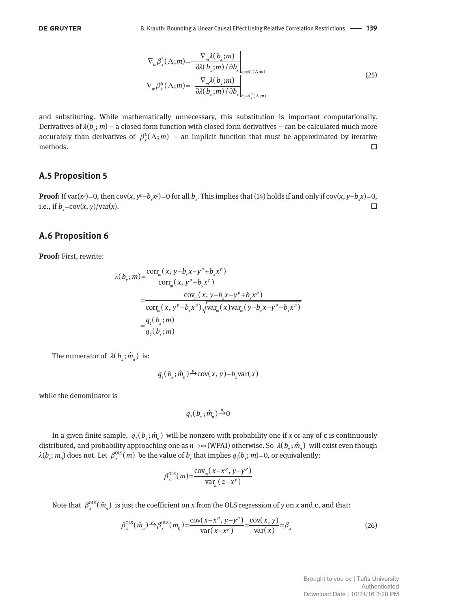$$
\nabla_m \beta_x^L(\Lambda; m) = -\frac{\nabla_m \lambda(b_x; m)}{\partial \lambda(b_x; m) / \partial b_x}\Big|_{b_x = \beta_x^L(\Lambda; m)}
$$
\n
$$
\nabla_m \beta_x^H(\Lambda; m) = -\frac{\nabla_m \lambda(b_x; m)}{\partial \lambda(b_x; m) / \partial b_x}\Big|_{b_x = \beta_x^H(\Lambda; m)}
$$
\n(25)

and substituting. While mathematically unnecessary, this substitution is important computationally. Derivatives of  $\lambda(b_x;m)$  – a closed form function with closed form derivatives – can be calculated much more accurately than derivatives of  $\beta_x^L(\Lambda; m)$  – an implicit function that must be approximated by iterative methods.  $\square$ 

#### **A.5 Proposition 5**

**Proof:** If var( $x^p$ )=0, then cov( $x$ ,  $y^p$ - $b_x x^p$ )=0 for all  $b_x$ . This implies that (14) holds if and only if cov( $x$ ,  $y$ - $b_x x$ )=0, i.e., if  $b_x = \text{cov}(x, y) / \text{var}(x)$ .

## **A.6 Proposition 6**

**Proof:** First, rewrite:

$$
\lambda(b_x; m) = \frac{\text{corr}_{m}(x, y - b_x x - y^p + b_x x^p)}{\text{corr}_{m}(x, y^p - b_x x^p)} \\
= \frac{\text{cov}_{m}(x, y - b_x x - y^p + b_x x^p)}{\text{corr}_{m}(x, y^p - b_x x^p) \sqrt{\text{var}_{m}(x) \text{var}_{m}(y - b_x x - y^p + b_x x^p)}} \\
= \frac{q_1(b_x; m)}{q_2(b_x; m)}
$$

The numerator of  $\lambda(b_x; \hat{m}_n)$  is:

$$
q_1(b_x; \hat{m}_n) \xrightarrow{p} \text{cov}(x, y) - b_x \text{var}(x)
$$

while the denominator is

$$
q_{2}(b_{x};\hat{m}_{n})\rightarrow{p}0
$$

In a given finite sample,  $q_2(b_x; \hat{m}_n)$  will be nonzero with probability one if *x* or any of **c** is continuously distributed, and probability approaching one as  $n\to\infty$  (WPA1) otherwise. So  $\lambda(b_x;\hat{m}_n)$  will exist even though  $\lambda(b_x;m_{_0})$  does not. Let  $\beta_x^{OLS}(m)$  be the value of  $b_x$  that implies  $q_1(b_x;m)$ =0, or equivalently:

$$
\beta_{x}^{\text{OLS}}(m) = \frac{\text{cov}_{m}(x - x^{p}, y - y^{p})}{\text{var}_{m}(z - x^{p})}
$$

Note that  $\beta_x^{\text{OLS}}(\hat{m}_n)$  is just the coefficient on *x* from the OLS regression of *y* on *x* and **c**, and that:

$$
\beta_x^{\text{OLS}}(\hat{m}_n) \xrightarrow{P} \beta_x^{\text{OLS}}(m_0) = \frac{\text{cov}(x - x^p, y - y^p)}{\text{var}(x - x^p)} = \frac{\text{cov}(x, y)}{\text{var}(x)} = \beta_x
$$
\n(26)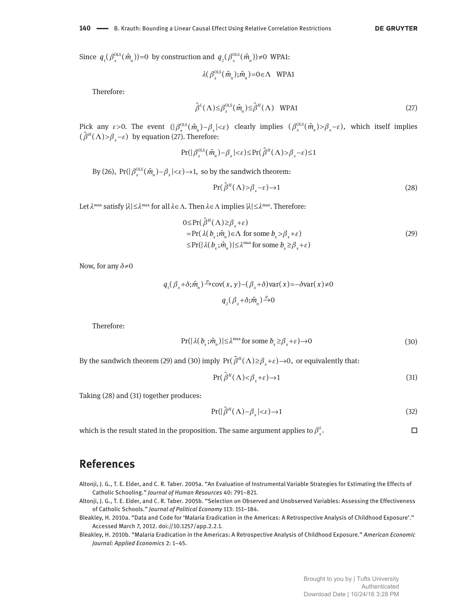Since  $q_1(\beta_x^{\text{OLS}}(\hat{m}_n))=0$  by construction and  $q_2(\beta_x^{\text{OLS}}(\hat{m}_n))\neq0$  WPA1:

$$
\lambda(\beta_{x}^{\text{OLS}}(\hat{m}_n);\hat{m}_n) = 0 \in \Lambda \quad \text{WPA1}
$$

Therefore:

$$
\hat{\beta}^{L}(\Lambda) \leq \beta_{x}^{\text{OLS}}(\hat{m}_n) \leq \hat{\beta}^{H}(\Lambda) \quad \text{WPA1}
$$
\n(27)

Pick any  $\varepsilon > 0$ . The event  $(|\beta_x^{\text{OLS}}(\hat{m}_n) - \beta_x| < \varepsilon)$  clearly implies  $(\beta_x^{\text{OLS}}(\hat{m}_n) > \beta_x - \varepsilon)$ , which itself implies  $(\hat{\beta}^H(\Lambda))>\beta_{x}-\varepsilon)$  by equation (27). Therefore:

$$
\Pr(|\beta_{x}^{\text{OLS}}(\hat{m}_n) - \beta_{x}| < \varepsilon) \le \Pr(\hat{\beta}^H(\Lambda) > \beta_{x} - \varepsilon) \le 1
$$

By (26),  $Pr(|\beta_x^{\text{OLS}}(\hat{m}_n) - \beta_x| < \varepsilon) \rightarrow 1$ , so by the sandwich theorem:

$$
Pr(\hat{\beta}^H(\Lambda) > \beta_x - \varepsilon) \to 1 \tag{28}
$$

Let  $\lambda^{\max}$  satisfy  $|\lambda| \leq \lambda^{\max}$  for all  $\lambda \in \Lambda$ . Then  $\lambda \in \Lambda$  implies  $|\lambda| \leq \lambda^{\max}$ . Therefore:

$$
0 \le \Pr(\hat{\beta}^{H}(\Lambda) \ge \beta_{x} + \varepsilon)
$$
  
=  $\Pr(\lambda(b_{x}; \hat{m}_{n}) \in \Lambda \text{ for some } b_{x} > \beta_{x} + \varepsilon)$   

$$
\le \Pr(|\lambda(b_{x}; \hat{m}_{n})| \le \lambda^{\max} \text{ for some } b_{x} \ge \beta_{x} + \varepsilon)
$$
 (29)

Now, for any δ*≠*0

$$
q_1(\beta_x + \delta; \hat{m}_n) \xrightarrow{p} cov(x, y) - (\beta_x + \delta) var(x) = -\delta var(x) \neq 0
$$
  

$$
q_2(\beta_x + \delta; \hat{m}_n) \xrightarrow{p} 0
$$

Therefore:

$$
\Pr(|\lambda(b_x; \hat{m}_n)| \le \lambda^{\max} \text{ for some } b_x \ge \beta_x + \varepsilon) \to 0 \tag{30}
$$

By the sandwich theorem (29) and (30) imply  $Pr(\hat{\beta}^H(\Lambda) \geq \beta_x + \varepsilon) \rightarrow 0$ , or equivalently that:

$$
Pr(\hat{\beta}^H(\Lambda) < \beta_x + \varepsilon) \to 1 \tag{31}
$$

Taking (28) and (31) together produces:

$$
Pr(|\hat{\beta}^H(\Lambda) - \beta_x| < \varepsilon) \to 1\tag{32}
$$

which is the result stated in the proposition. The same argument applies to  $\beta^L_x$ .  $\beta_{\rm v}^{\rm L}$ .

# **References**

Altonji, J. G., T. E. Elder, and C. R. Taber. 2005a. "An Evaluation of Instrumental Variable Strategies for Estimating the Effects of Catholic Schooling." *Journal of Human Resources* 40: 791–821.

Altonji, J. G., T. E. Elder, and C. R. Taber. 2005b. "Selection on Observed and Unobserved Variables: Assessing the Effectiveness of Catholic Schools." *Journal of Political Economy* 113: 151–184.

- Bleakley, H. 2010a. "Data and Code for 'Malaria Eradication in the Americas: A Retrospective Analysis of Childhood Exposure'." Accessed March 7, 2012. doi://10.1257/app.2.2.1.
- Bleakley, H. 2010b. "Malaria Eradication in the Americas: A Retrospective Analysis of Childhood Exposure." *American Economic Journal: Applied Economics* 2: 1–45.